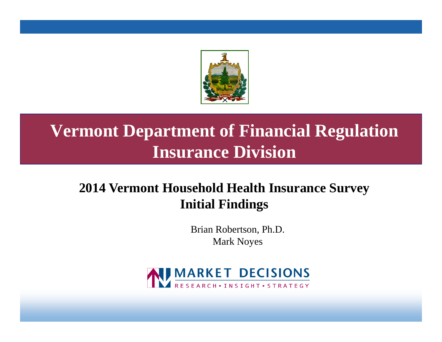

### **Vermont Department of Financial Regulation Insurance Division**

### **2014 Vermont Household Health Insurance Survey Initial Findings**

Brian Robertson, Ph.D. Mark Noyes

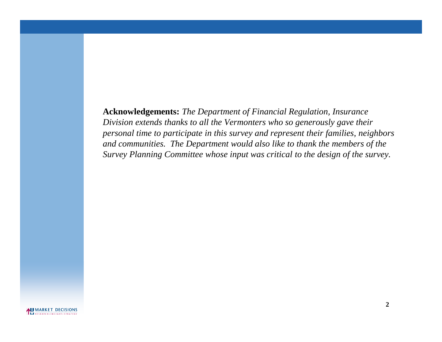**Acknowledgements:** *The Department of Financial Regulation, Insurance Division extends thanks to all the Vermonters who so generously gave their personal time to participate in this survey and represent their families, neighbors and communities. The Department would also like to thank the members of the Survey Planning Committee whose input was critical to the design of the survey.*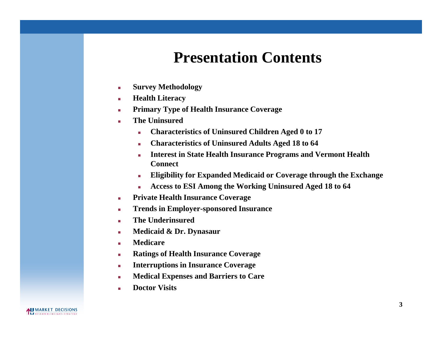### **Presentation Contents**

- **Survey Methodology**
- **Health Literacy**
- **Primary Type of Health Insurance Coverage**
- **The Uninsured**
	- **Characteristics of Uninsured Children Aged 0 to 17**
	- **Characteristics of Uninsured Adults Aged 18 to 64**
	- **Interest in State Health Insurance Programs and Vermont Health Connect**
	- **Eligibility for Expanded Medicaid or Coverage through the Exchange**
	- **Access to ESI Among the Working Uninsured Aged 18 to 64**
- **Private Health Insurance Coverage**
- **Trends in Employer-sponsored Insurance**
- **The Underinsured**
- **Medicaid & Dr. Dynasaur**
- **Medicare**
- **Ratings of Health Insurance Coverage**
- **Interruptions in Insurance Coverage**
- **Medical Expenses and Barriers to Care**
- **Doctor Visits**

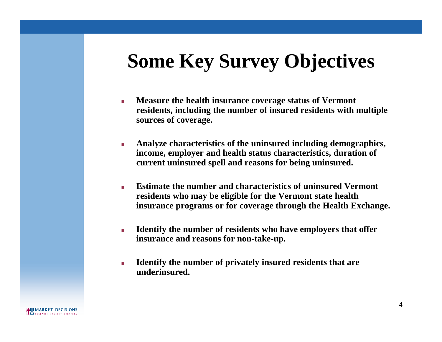## **Some Key Survey Objectives**

- **Measure the health insurance coverage status of Vermont residents, including the number of insured residents with multiple sources of coverage.**
- **Analyze characteristics of the uninsured including demographics, income, employer and health status characteristics, duration of current uninsured spell and reasons for being uninsured.**
- **Estimate the number and characteristics of uninsured Vermont residents who may be eligible for the Vermont state health insurance programs or for coverage through the Health Exchange.**
- **Identify the number of residents who have employers that offer insurance and reasons for non-take-up.**
- **Identify the number of privately insured residents that are underinsured.**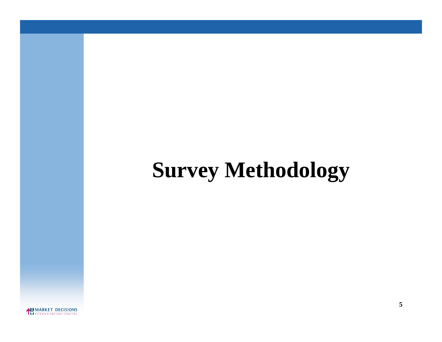# **Survey Methodology**

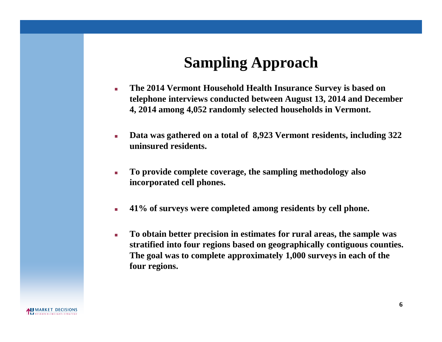### **Sampling Approach**

- **The 2014 Vermont Household Health Insurance Survey is based on telephone interviews conducted between August 13, 2014 and December 4, 2014 among 4,052 randomly selected households in Vermont.**
- **Data was gathered on a total of 8,923 Vermont residents, including 322 uninsured residents.**
- **To provide complete coverage, the sampling methodology also incorporated cell phones.**
- **41% of surveys were completed among residents by cell phone.**
- **To obtain better precision in estimates for rural areas, the sample was stratified into four regions based on geographically contiguous counties. The goal was to complete approximately 1,000 surveys in each of the four regions.**

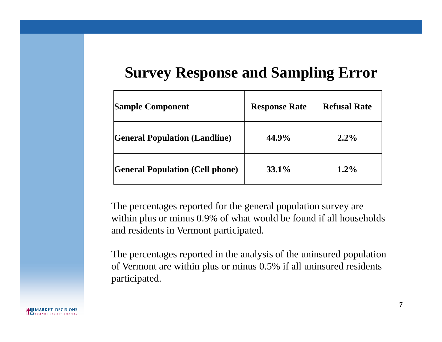### **Survey Response and Sampling Error**

| <b>Sample Component</b>                | <b>Response Rate</b> | <b>Refusal Rate</b> |
|----------------------------------------|----------------------|---------------------|
| <b>General Population (Landline)</b>   | 44.9%                | $2.2\%$             |
| <b>General Population (Cell phone)</b> | $33.1\%$             | $1.2\%$             |

The percentages reported for the general population survey are within plus or minus 0.9% of what would be found if all households and residents in Vermont participated.

The percentages reported in the analysis of the uninsured population of Vermont are within plus or minus 0.5% if all uninsured residents participated.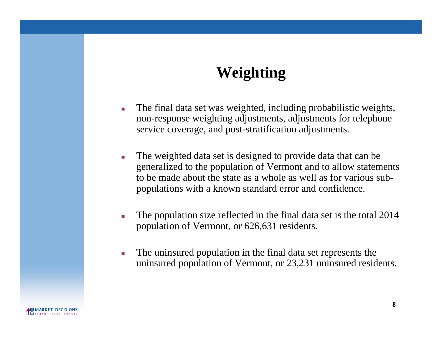### **Weighting**

- The final data set was weighted, including probabilistic weights, non-response weighting adjustments, adjustments for telephone service coverage, and post-stratification adjustments.
- The weighted data set is designed to provide data that can be generalized to the population of Vermont and to allow statements to be made about the state as a whole as well as for various subpopulations with a known standard error and confidence.
- The population size reflected in the final data set is the total 2014 population of Vermont, or 626,631 residents.
- The uninsured population in the final data set represents the uninsured population of Vermont, or 23,231 uninsured residents.

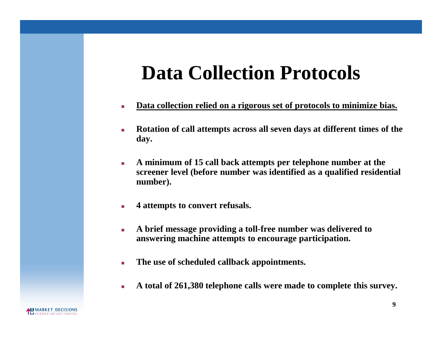## **Data Collection Protocols**

- **Data collection relied on a rigorous set of protocols to minimize bias.**
- **Rotation of call attempts across all seven days at different times of the day.**
- **A minimum of 15 call back attempts per telephone number at the screener level (before number was identified as a qualified residential number).**
- **4 attempts to convert refusals.**
- **A brief message providing a toll-free number was delivered to answering machine attempts to encourage participation.**
- **The use of scheduled callback appointments.**
- **A total of 261,380 telephone calls were made to complete this survey.**

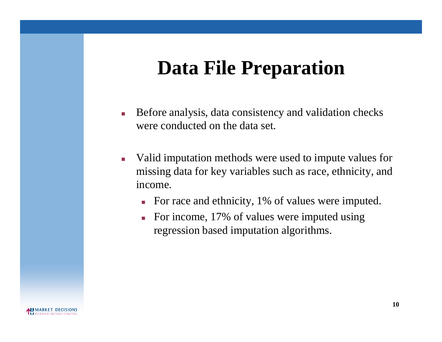## **Data File Preparation**

- Before analysis, data consistency and validation checks were conducted on the data set.
- Valid imputation methods were used to impute values for missing data for key variables such as race, ethnicity, and income.
	- For race and ethnicity, 1% of values were imputed.
	- For income, 17% of values were imputed using regression based imputation algorithms.

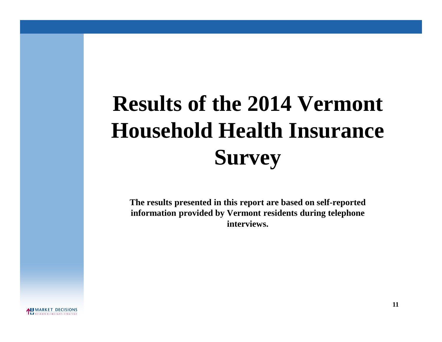# **Results of the 2014 Vermont Household Health Insurance Survey**

**The results presented in this report are based on self-reported information provided by Vermont residents during telephone interviews.**

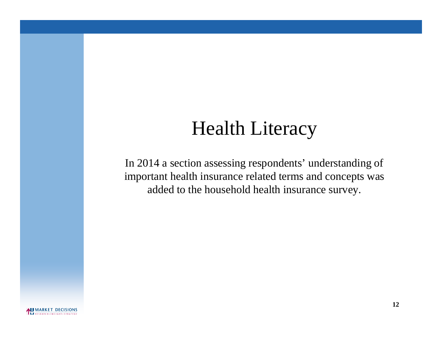## Health Literacy

In 2014 a section assessing respondents' understanding of important health insurance related terms and concepts was added to the household health insurance survey.

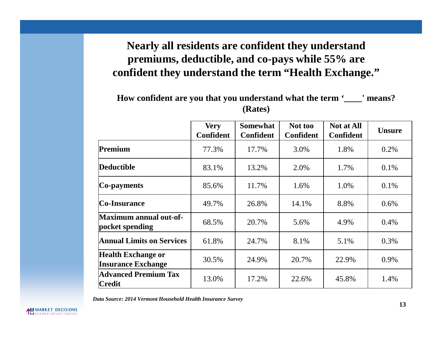### **Nearly all residents are confident they understand premiums, deductible, and co-pays while 55% are confident they understand the term "Health Exchange."**

#### **How confident are you that you understand what the term '\_\_\_\_' means? (Rates)**

|                                                        | <b>Very</b><br><b>Confident</b> | <b>Somewhat</b><br><b>Confident</b> | Not too<br><b>Confident</b> | <b>Not at All</b><br><b>Confident</b> | <b>Unsure</b> |
|--------------------------------------------------------|---------------------------------|-------------------------------------|-----------------------------|---------------------------------------|---------------|
| Premium                                                | 77.3%                           | 17.7%                               | 3.0%                        | 1.8%                                  | 0.2%          |
| <b>Deductible</b>                                      | 83.1%                           | 13.2%                               | 2.0%                        | 1.7%                                  | 0.1%          |
| Co-payments                                            | 85.6%                           | 11.7%                               | 1.6%                        | 1.0%                                  | 0.1%          |
| <b>Co-Insurance</b>                                    | 49.7%                           | 26.8%                               | 14.1%                       | 8.8%                                  | 0.6%          |
| <b>Maximum annual out-of-</b><br>pocket spending       | 68.5%                           | 20.7%                               | 5.6%                        | 4.9%                                  | 0.4%          |
| <b>Annual Limits on Services</b>                       | 61.8%                           | 24.7%                               | 8.1%                        | 5.1%                                  | 0.3%          |
| <b>Health Exchange or</b><br><b>Insurance Exchange</b> | 30.5%                           | 24.9%                               | 20.7%                       | 22.9%                                 | 0.9%          |
| <b>Advanced Premium Tax</b><br>Credit                  | 13.0%                           | 17.2%                               | 22.6%                       | 45.8%                                 | 1.4%          |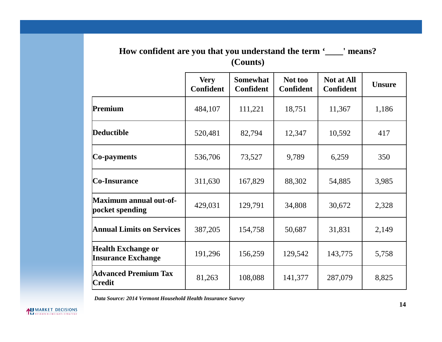#### **How confident are you that you understand the term '\_\_\_\_' means? (Counts)**

|                                                        | <b>Very</b><br><b>Confident</b> | <b>Somewhat</b><br><b>Confident</b> | Not too<br><b>Confident</b> | <b>Not at All</b><br><b>Confident</b> | <b>Unsure</b> |
|--------------------------------------------------------|---------------------------------|-------------------------------------|-----------------------------|---------------------------------------|---------------|
| Premium                                                | 484,107                         | 111,221                             | 18,751                      | 11,367                                | 1,186         |
| <b>Deductible</b>                                      | 520,481                         | 82,794                              | 12,347                      | 10,592                                | 417           |
| Co-payments                                            | 536,706                         | 73,527                              | 9,789                       | 6,259                                 | 350           |
| Co-Insurance                                           | 311,630                         | 167,829                             | 88,302                      | 54,885                                | 3,985         |
| Maximum annual out-of-<br>pocket spending              | 429,031                         | 129,791                             | 34,808                      | 30,672                                | 2,328         |
| <b>Annual Limits on Services</b>                       | 387,205                         | 154,758                             | 50,687                      | 31,831                                | 2,149         |
| <b>Health Exchange or</b><br><b>Insurance Exchange</b> | 191,296                         | 156,259                             | 129,542                     | 143,775                               | 5,758         |
| <b>Advanced Premium Tax</b><br>Credit                  | 81,263                          | 108,088                             | 141,377                     | 287,079                               | 8,825         |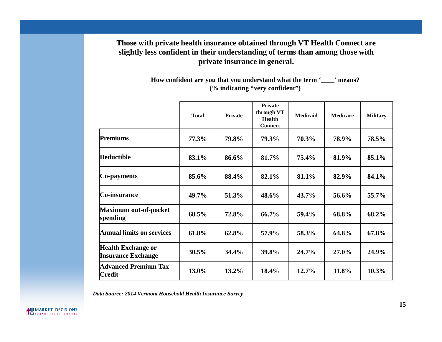#### **Those with private health insurance obtained through VT Health Connect are slightly less confident in their understanding of terms than among those with private insurance in general.**

**How confident are you that you understand what the term '\_\_\_\_' means? (% indicating "very confident")**

|                                                        | <b>Total</b> | <b>Private</b> | Private<br>through VT<br><b>Health</b><br><b>Connect</b> | <b>Medicaid</b> | <b>Medicare</b> | <b>Military</b> |
|--------------------------------------------------------|--------------|----------------|----------------------------------------------------------|-----------------|-----------------|-----------------|
| Premiums                                               | 77.3%        | 79.8%          | 79.3%                                                    | 70.3%           | 78.9%           | 78.5%           |
| Deductible                                             | 83.1%        | 86.6%          | 81.7%                                                    | 75.4%           | 81.9%           | 85.1%           |
| Co-payments                                            | 85.6%        | 88.4%          | 82.1%                                                    | 81.1%           | 82.9%           | 84.1%           |
| Co-insurance                                           | 49.7%        | 51.3%          | 48.6%                                                    | 43.7%           | 56.6%           | 55.7%           |
| Maximum out-of-pocket<br>spending                      | 68.5%        | 72.8%          | 66.7%                                                    | 59.4%           | 68.8%           | 68.2%           |
| <b>Annual limits on services</b>                       | 61.8%        | 62.8%          | 57.9%                                                    | 58.3%           | 64.8%           | 67.8%           |
| <b>Health Exchange or</b><br><b>Insurance Exchange</b> | $30.5\%$     | 34.4%          | 39.8%                                                    | 24.7%           | 27.0%           | 24.9%           |
| <b>Advanced Premium Tax</b><br><b>Credit</b>           | 13.0%        | $13.2\%$       | 18.4%                                                    | 12.7%           | 11.8%           | 10.3%           |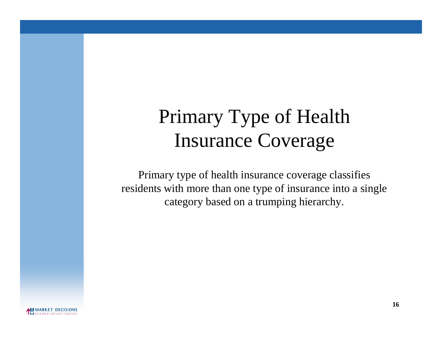## Primary Type of Health Insurance Coverage

Primary type of health insurance coverage classifies residents with more than one type of insurance into a single category based on a trumping hierarchy.

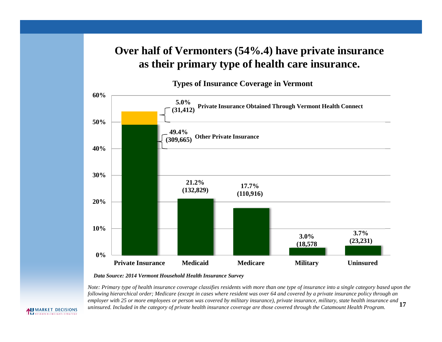### **Over half of Vermonters (54%.4) have private insurance as their primary type of health care insurance.**

**Types of Insurance Coverage in Vermont**



*Data Source: 2014 Vermont Household Health Insurance Survey*

*Note: Primary type of health insurance coverage classifies residents with more than one type of insurance into a single category based upon the following hierarchical order; Medicare (except in cases where resident was over 64 and covered by a private insurance policy through an* employer with 25 or more employees or person was covered by military insurance), private insurance, military, state health insurance and  $17$ 

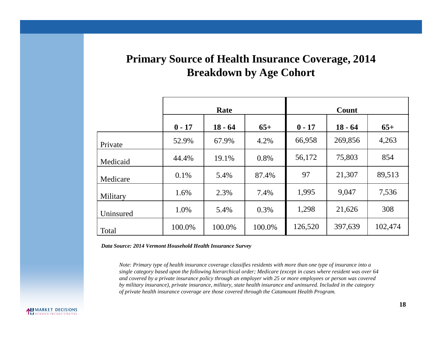### **Primary Source of Health Insurance Coverage, 2014 Breakdown by Age Cohort**

|           |          | Rate      |        | Count    |           |         |  |
|-----------|----------|-----------|--------|----------|-----------|---------|--|
|           | $0 - 17$ | $18 - 64$ | $65+$  | $0 - 17$ | $18 - 64$ | $65+$   |  |
| Private   | 52.9%    | 67.9%     | 4.2%   | 66,958   | 269,856   | 4,263   |  |
| Medicaid  | 44.4%    | 19.1%     | 0.8%   | 56,172   | 75,803    | 854     |  |
| Medicare  | 0.1%     | 5.4%      | 87.4%  | 97       | 21,307    | 89,513  |  |
| Military  | 1.6%     | 2.3%      | 7.4%   | 1,995    | 9,047     | 7,536   |  |
| Uninsured | 1.0%     | 5.4%      | 0.3%   | 1,298    | 21,626    | 308     |  |
| Total     | 100.0%   | 100.0%    | 100.0% | 126,520  | 397,639   | 102,474 |  |

*Data Source: 2014 Vermont Household Health Insurance Survey*

*Note: Primary type of health insurance coverage classifies residents with more than one type of insurance into a single category based upon the following hierarchical order; Medicare (except in cases where resident was over 64 and covered by a private insurance policy through an employer with 25 or more employees or person was covered by military insurance), private insurance, military, state health insurance and uninsured. Included in the category of private health insurance coverage are those covered through the Catamount Health Program.*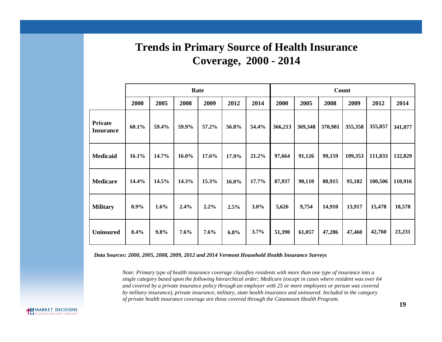### **Trends in Primary Source of Health Insurance Coverage, 2000 - 2014**

|                                    |         |       |       | Rate    |       |       | Count   |         |         |         |         |         |
|------------------------------------|---------|-------|-------|---------|-------|-------|---------|---------|---------|---------|---------|---------|
|                                    | 2000    | 2005  | 2008  | 2009    | 2012  | 2014  | 2000    | 2005    | 2008    | 2009    | 2012    | 2014    |
| <b>Private</b><br><b>Insurance</b> | 60.1%   | 59.4% | 59.9% | 57.2%   | 56.8% | 54.4% | 366,213 | 369,348 | 370,981 | 355,358 | 355,857 | 341,077 |
| <b>Medicaid</b>                    | 16.1%   | 14.7% | 16.0% | 17.6%   | 17.9% | 21.2% | 97,664  | 91,126  | 99,159  | 109,353 | 111,833 | 132,829 |
| <b>Medicare</b>                    | 14.4%   | 14.5% | 14.3% | 15.3%   | 16.0% | 17.7% | 87,937  | 90,110  | 88,915  | 95,182  | 100,506 | 110,916 |
| <b>Military</b>                    | $0.9\%$ | 1.6%  | 2.4%  | $2.2\%$ | 2.5%  | 3.0%  | 5,626   | 9,754   | 14,910  | 13,917  | 15,478  | 18,578  |
| <b>Uninsured</b>                   | 8.4%    | 9.8%  | 7.6%  | 7.6%    | 6.8%  | 3.7%  | 51,390  | 61,057  | 47,286  | 47,460  | 42,760  | 23,231  |

*Data Sources: 2000, 2005, 2008, 2009, 2012 and 2014 Vermont Household Health Insurance Surveys*

*Note: Primary type of health insurance coverage classifies residents with more than one type of insurance into a single category based upon the following hierarchical order; Medicare (except in cases where resident was over 64 and covered by a private insurance policy through an employer with 25 or more employees or person was covered by military insurance), private insurance, military, state health insurance and uninsured. Included in the category of private health insurance coverage are those covered through the Catamount Health Program.*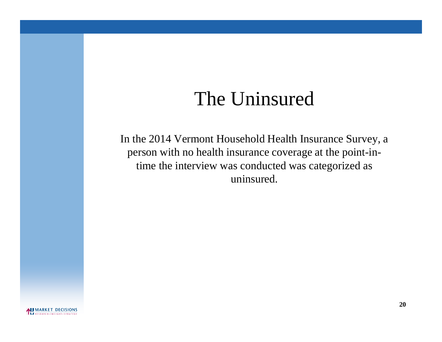## The Uninsured

In the 2014 Vermont Household Health Insurance Survey, a person with no health insurance coverage at the point-intime the interview was conducted was categorized as uninsured.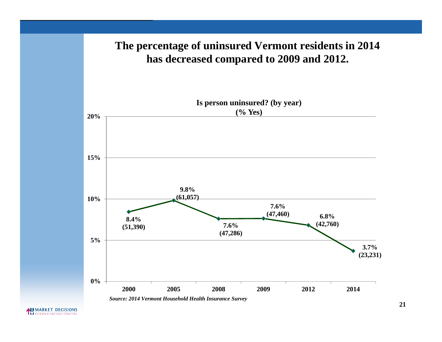### **The percentage of uninsured Vermont residents in 2014 has decreased compared to 2009 and 2012.**

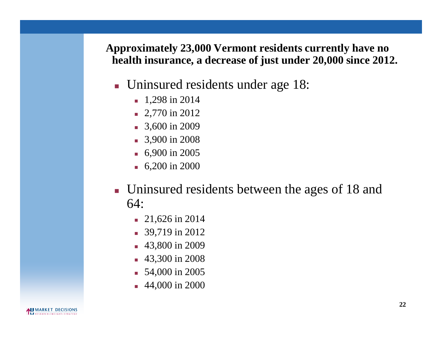**Approximately 23,000 Vermont residents currently have no health insurance, a decrease of just under 20,000 since 2012.**

- **Uninsured residents under age 18:** 
	- $\blacksquare$  1,298 in 2014
	- $\blacksquare$  2,770 in 2012
	- 3,600 in 2009
	- 3,900 in 2008
	- **6,900 in 2005**
	- **6,200 in 2000**
- **Uninsured residents between the ages of 18 and** 64:
	- 21,626 in 2014
	- 39,719 in 2012
	- 43,800 in 2009
	- 43,300 in 2008
	- **54,000 in 2005**
	- 44,000 in 2000

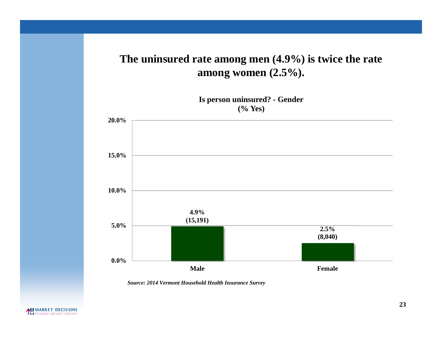### **The uninsured rate among men (4.9%) is twice the rate among women (2.5%).**

**Is person uninsured? - Gender (% Yes)**

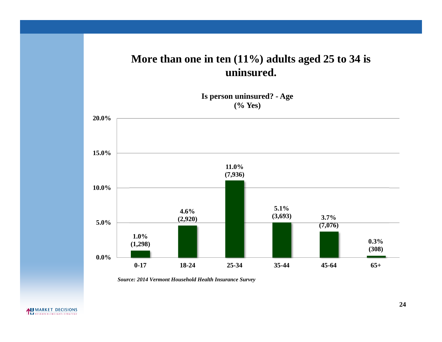### **More than one in ten (11%) adults aged 25 to 34 is uninsured.**

**Is person uninsured? - Age (% Yes)**

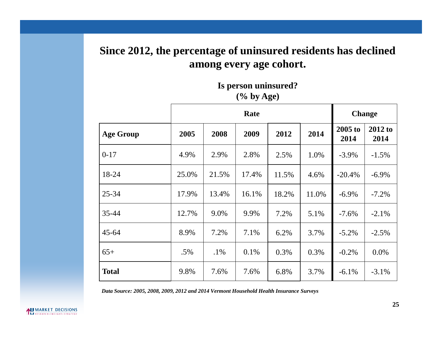### **Since 2012, the percentage of uninsured residents has declined among every age cohort.**

#### **Is person uninsured? (% by Age)**

|                  |       | Rate   |         |       |       |                 | <b>Change</b>   |  |  |
|------------------|-------|--------|---------|-------|-------|-----------------|-----------------|--|--|
| <b>Age Group</b> | 2005  | 2008   | 2009    | 2012  | 2014  | 2005 to<br>2014 | 2012 to<br>2014 |  |  |
| $0-17$           | 4.9%  | 2.9%   | 2.8%    | 2.5%  | 1.0%  | $-3.9\%$        | $-1.5\%$        |  |  |
| 18-24            | 25.0% | 21.5%  | 17.4%   | 11.5% | 4.6%  | $-20.4\%$       | $-6.9\%$        |  |  |
| $25 - 34$        | 17.9% | 13.4%  | 16.1%   | 18.2% | 11.0% | $-6.9\%$        | $-7.2\%$        |  |  |
| 35-44            | 12.7% | 9.0%   | 9.9%    | 7.2%  | 5.1%  | $-7.6\%$        | $-2.1\%$        |  |  |
| $45 - 64$        | 8.9%  | 7.2%   | 7.1%    | 6.2%  | 3.7%  | $-5.2\%$        | $-2.5%$         |  |  |
| $65+$            | .5%   | $.1\%$ | $0.1\%$ | 0.3%  | 0.3%  | $-0.2\%$        | $0.0\%$         |  |  |
| <b>Total</b>     | 9.8%  | 7.6%   | 7.6%    | 6.8%  | 3.7%  | $-6.1\%$        | $-3.1\%$        |  |  |

*Data Source: 2005, 2008, 2009, 2012 and 2014 Vermont Household Health Insurance Surveys*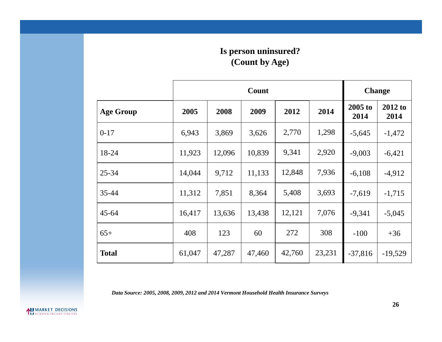#### **Is person uninsured? (Count by Age)**

|                  |        |        | Count  |        |        | <b>Change</b>   |                 |
|------------------|--------|--------|--------|--------|--------|-----------------|-----------------|
| <b>Age Group</b> | 2005   | 2008   | 2009   | 2012   | 2014   | 2005 to<br>2014 | 2012 to<br>2014 |
| $0-17$           | 6,943  | 3,869  | 3,626  | 2,770  | 1,298  | $-5,645$        | $-1,472$        |
| 18-24            | 11,923 | 12,096 | 10,839 | 9,341  | 2,920  | $-9,003$        | $-6,421$        |
| $25 - 34$        | 14,044 | 9,712  | 11,133 | 12,848 | 7,936  | $-6,108$        | $-4,912$        |
| 35-44            | 11,312 | 7,851  | 8,364  | 5,408  | 3,693  | $-7,619$        | $-1,715$        |
| $45 - 64$        | 16,417 | 13,636 | 13,438 | 12,121 | 7,076  | $-9,341$        | $-5,045$        |
| $65+$            | 408    | 123    | 60     | 272    | 308    | $-100$          | $+36$           |
| <b>Total</b>     | 61,047 | 47,287 | 47,460 | 42,760 | 23,231 | $-37,816$       | $-19,529$       |

*Data Source: 2005, 2008, 2009, 2012 and 2014 Vermont Household Health Insurance Surveys*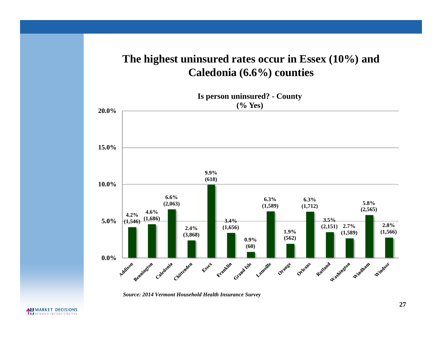### **The highest uninsured rates occur in Essex (10%) and Caledonia (6.6%) counties**



*Source: 2014 Vermont Household Health Insurance Survey*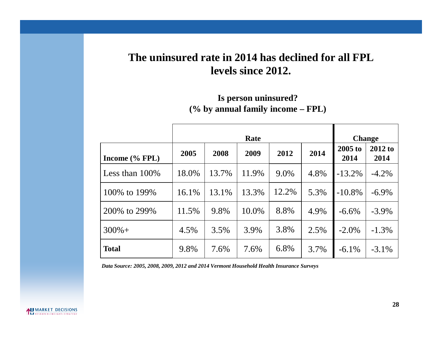### **The uninsured rate in 2014 has declined for all FPL levels since 2012.**

#### **Is person uninsured?**

**(% by annual family income – FPL)**

|                   |       |       |       | <b>Change</b> |      |                   |                   |
|-------------------|-------|-------|-------|---------------|------|-------------------|-------------------|
| Income $(\%$ FPL) | 2005  | 2008  | 2009  | 2012          | 2014 | $2005$ to<br>2014 | $2012$ to<br>2014 |
| Less than $100\%$ | 18.0% | 13.7% | 11.9% | 9.0%          | 4.8% | $-13.2\%$         | $-4.2\%$          |
| 100\% to 199\%    | 16.1% | 13.1% | 13.3% | 12.2%         | 5.3% | $-10.8\%$         | $-6.9\%$          |
| 200\% to 299\%    | 11.5% | 9.8%  | 10.0% | 8.8%          | 4.9% | $-6.6\%$          | $-3.9\%$          |
| $300% +$          | 4.5%  | 3.5%  | 3.9%  | 3.8%          | 2.5% | $-2.0\%$          | $-1.3\%$          |
| <b>Total</b>      | 9.8%  | 7.6%  | 7.6%  | 6.8%          | 3.7% | $-6.1\%$          | $-3.1\%$          |

*Data Source: 2005, 2008, 2009, 2012 and 2014 Vermont Household Health Insurance Surveys*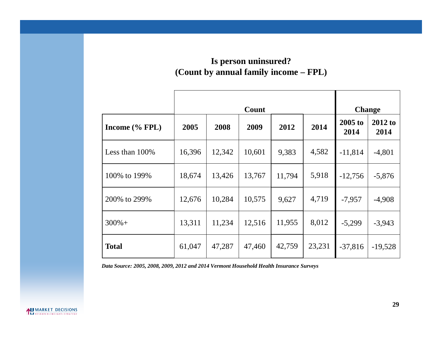#### **Is person uninsured? (Count by annual family income – FPL)**

|                   |        |        |        | <b>Change</b> |        |                   |                   |
|-------------------|--------|--------|--------|---------------|--------|-------------------|-------------------|
| Income $(\%$ FPL) | 2005   | 2008   | 2009   | 2012          | 2014   | $2005$ to<br>2014 | $2012$ to<br>2014 |
| Less than $100\%$ | 16,396 | 12,342 | 10,601 | 9,383         | 4,582  | $-11,814$         | $-4,801$          |
| 100% to 199%      | 18,674 | 13,426 | 13,767 | 11,794        | 5,918  | $-12,756$         | $-5,876$          |
| 200% to 299%      | 12,676 | 10,284 | 10,575 | 9,627         | 4,719  | $-7,957$          | $-4,908$          |
| $300% +$          | 13,311 | 11,234 | 12,516 | 11,955        | 8,012  | $-5,299$          | $-3,943$          |
| <b>Total</b>      | 61,047 | 47,287 | 47,460 | 42,759        | 23,231 | $-37,816$         | $-19,528$         |

*Data Source: 2005, 2008, 2009, 2012 and 2014 Vermont Household Health Insurance Surveys*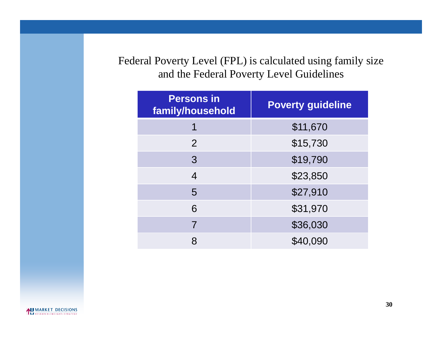Federal Poverty Level (FPL) is calculated using family size and the Federal Poverty Level Guidelines

| <b>Persons in</b><br>family/household | <b>Poverty guideline</b> |
|---------------------------------------|--------------------------|
|                                       | \$11,670                 |
| 2                                     | \$15,730                 |
| 3                                     | \$19,790                 |
| $\overline{4}$                        | \$23,850                 |
| 5                                     | \$27,910                 |
| 6                                     | \$31,970                 |
| 7                                     | \$36,030                 |
| 8                                     | \$40,090                 |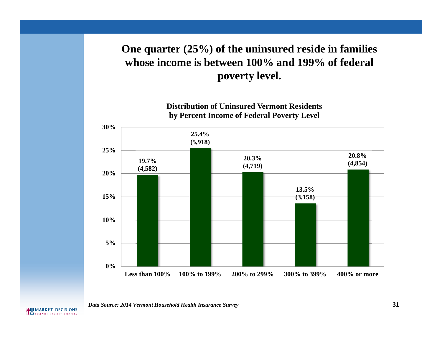### **One quarter (25%) of the uninsured reside in families whose income is between 100% and 199% of federal poverty level.**

**Distribution of Uninsured Vermont Residents by Percent Income of Federal Poverty Level**



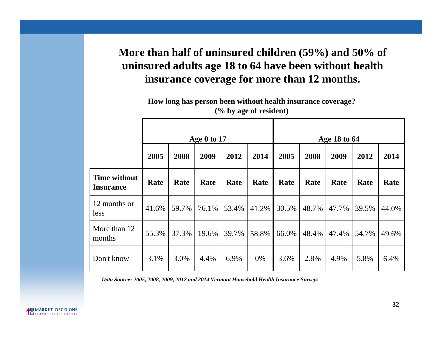### **More than half of uninsured children (59%) and 50% of uninsured adults age 18 to 64 have been without health insurance coverage for more than 12 months.**

**How long has person been without health insurance coverage? (% by age of resident)**

|                                         |       | Age $0$ to 17 |       |       |       |       |       |              |       |       |  |  |
|-----------------------------------------|-------|---------------|-------|-------|-------|-------|-------|--------------|-------|-------|--|--|
|                                         |       |               |       |       |       |       |       | Age 18 to 64 |       |       |  |  |
|                                         | 2005  | 2008          | 2009  | 2012  | 2014  | 2005  | 2008  | 2009         | 2012  | 2014  |  |  |
| <b>Time without</b><br><b>Insurance</b> | Rate  | Rate          | Rate  | Rate  | Rate  | Rate  | Rate  | Rate         | Rate  | Rate  |  |  |
| 12 months or<br>less                    | 41.6% | 59.7%         | 76.1% | 53.4% | 41.2% | 30.5% | 48.7% | 47.7%        | 39.5% | 44.0% |  |  |
| More than 12<br>months                  | 55.3% | 37.3%         | 19.6% | 39.7% | 58.8% | 66.0% | 48.4% | 47.4%        | 54.7% | 49.6% |  |  |
| Don't know                              | 3.1%  | 3.0%          | 4.4%  | 6.9%  | 0%    | 3.6%  | 2.8%  | 4.9%         | 5.8%  | 6.4%  |  |  |

*Data Source: 2005, 2008, 2009, 2012 and 2014 Vermont Household Health Insurance Surveys*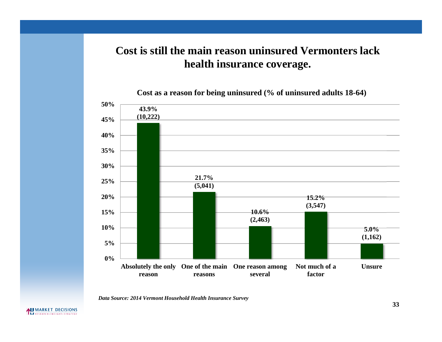### **Cost is still the main reason uninsured Vermonters lack health insurance coverage.**

**Cost as a reason for being uninsured (% of uninsured adults 18-64)**

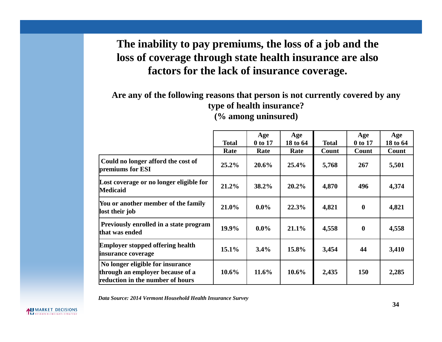### **The inability to pay premiums, the loss of a job and the loss of coverage through state health insurance are also factors for the lack of insurance coverage.**

### **Are any of the following reasons that person is not currently covered by any type of health insurance?**

**(% among uninsured)**

|                                                                                                          |              | Age      | Age      |              | Age          | Age      |
|----------------------------------------------------------------------------------------------------------|--------------|----------|----------|--------------|--------------|----------|
|                                                                                                          | <b>Total</b> | 0 to 17  | 18 to 64 | <b>Total</b> | 0 to 17      | 18 to 64 |
|                                                                                                          | Rate         | Rate     | Rate     | Count        | Count        | Count    |
| Could no longer afford the cost of<br>premiums for ESI                                                   | 25.2%        | 20.6%    | 25.4%    | 5,768        | 267          | 5,501    |
| Lost coverage or no longer eligible for<br><b>Medicaid</b>                                               | 21.2%        | 38.2%    | $20.2\%$ | 4,870        | 496          | 4,374    |
| You or another member of the family<br>lost their job                                                    | 21.0%        | $0.0\%$  | 22.3%    | 4,821        | $\mathbf{0}$ | 4,821    |
| Previously enrolled in a state program<br>that was ended                                                 | 19.9%        | $0.0\%$  | $21.1\%$ | 4,558        | $\mathbf 0$  | 4,558    |
| <b>Employer stopped offering health</b><br>insurance coverage                                            | $15.1\%$     | 3.4%     | 15.8%    | 3,454        | 44           | 3,410    |
| No longer eligible for insurance<br>through an employer because of a<br>reduction in the number of hours | $10.6\%$     | $11.6\%$ | $10.6\%$ | 2,435        | 150          | 2,285    |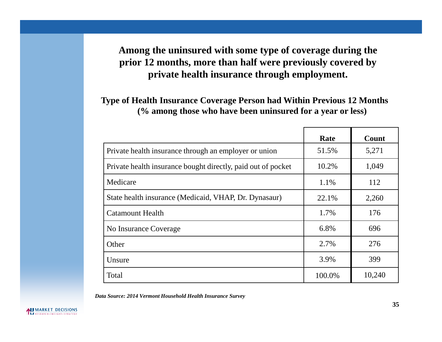### **Among the uninsured with some type of coverage during the prior 12 months, more than half were previously covered by private health insurance through employment.**

**Type of Health Insurance Coverage Person had Within Previous 12 Months (% among those who have been uninsured for a year or less)**

|                                                              | Rate   | Count  |
|--------------------------------------------------------------|--------|--------|
| Private health insurance through an employer or union        | 51.5%  | 5,271  |
| Private health insurance bought directly, paid out of pocket | 10.2%  | 1,049  |
| Medicare                                                     | 1.1%   | 112    |
| State health insurance (Medicaid, VHAP, Dr. Dynasaur)        | 22.1%  | 2,260  |
| <b>Catamount Health</b>                                      | 1.7%   | 176    |
| No Insurance Coverage                                        | 6.8%   | 696    |
| Other                                                        | 2.7%   | 276    |
| Unsure                                                       | 3.9%   | 399    |
| Total                                                        | 100.0% | 10,240 |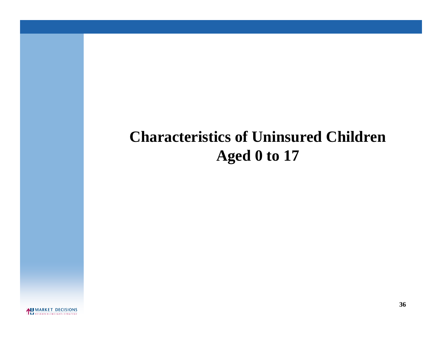### **Characteristics of Uninsured Children Aged 0 to 17**

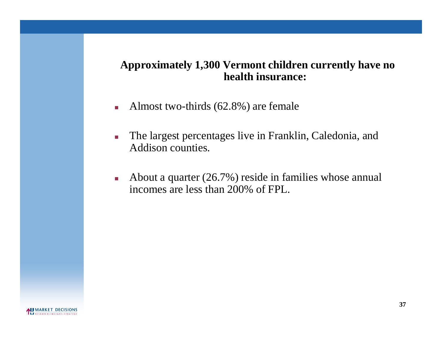### **Approximately 1,300 Vermont children currently have no health insurance:**

- Almost two-thirds  $(62.8\%)$  are female
- The largest percentages live in Franklin, Caledonia, and Addison counties.
- About a quarter  $(26.7%)$  reside in families whose annual incomes are less than 200% of FPL.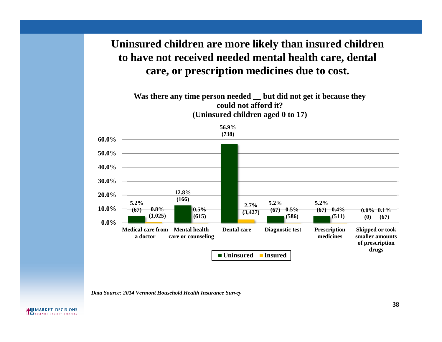# **Uninsured children are more likely than insured children to have not received needed mental health care, dental care, or prescription medicines due to cost.**

**Was there any time person needed \_\_ but did not get it because they could not afford it? (Uninsured children aged 0 to 17)**



*Data Source: 2014 Vermont Household Health Insurance Survey*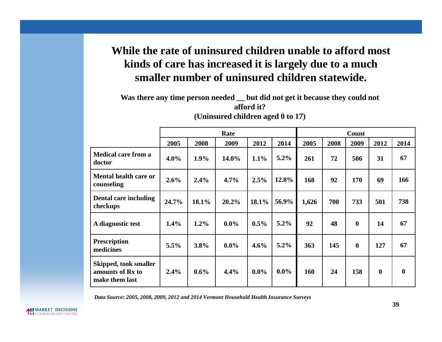# **While the rate of uninsured children unable to afford most kinds of care has increased it is largely due to a much smaller number of uninsured children statewide.**

**Was there any time person needed \_\_ but did not get it because they could not afford it? (Uninsured children aged 0 to 17)**

|                                                             |         |         | Rate    |         |         |       |      | Count    |             |                  |
|-------------------------------------------------------------|---------|---------|---------|---------|---------|-------|------|----------|-------------|------------------|
|                                                             | 2005    | 2008    | 2009    | 2012    | 2014    | 2005  | 2008 | 2009     | 2012        | 2014             |
| <b>Medical care from a</b><br>doctor                        | $4.0\%$ | $1.9\%$ | 14.0%   | $1.1\%$ | $5.2\%$ | 261   | 72   | 506      | 31          | 67               |
| <b>Mental health care or</b><br>counseling                  | 2.6%    | 2.4%    | 4.7%    | 2.5%    | 12.8%   | 168   | 92   | 170      | 69          | 166              |
| Dental care including<br>checkups                           | 24.7%   | 18.1%   | 20.2%   | 18.1%   | 56.9%   | 1,626 | 700  | 733      | 501         | 738              |
| A diagnostic test                                           | 1.4%    | 1.2%    | $0.0\%$ | $0.5\%$ | $5.2\%$ | 92    | 48   | $\bf{0}$ | 14          | 67               |
| <b>Prescription</b><br>medicines                            | 5.5%    | 3.8%    | $0.0\%$ | 4.6%    | $5.2\%$ | 363   | 145  | $\bf{0}$ | 127         | 67               |
| Skipped, took smaller<br>amounts of Rx to<br>make them last | 2.4%    | 0.6%    | 4.4%    | $0.0\%$ | $0.0\%$ | 160   | 24   | 158      | $\mathbf 0$ | $\boldsymbol{0}$ |

*Data Source: 2005, 2008, 2009, 2012 and 2014 Vermont Household Health Insurance Surveys*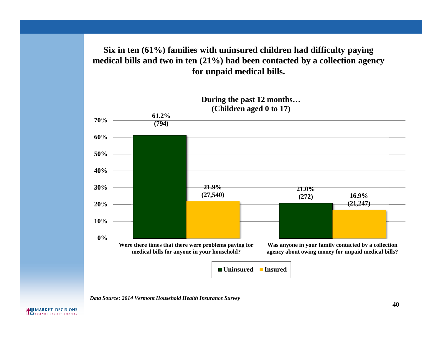### **Six in ten (61%) families with uninsured children had difficulty paying medical bills and two in ten (21%) had been contacted by a collection agency for unpaid medical bills.**



*Data Source: 2014 Vermont Household Health Insurance Survey*

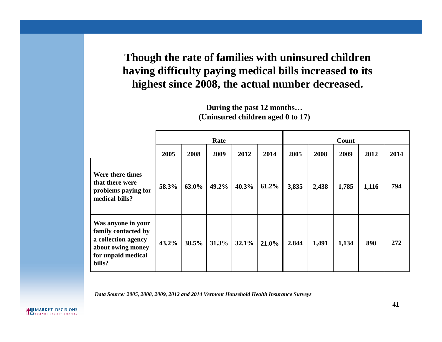**Though the rate of families with uninsured children having difficulty paying medical bills increased to its highest since 2008, the actual number decreased.**

|                                                                                                                       |       | Rate  |       |       |       |       | Count |       |       |      |  |  |
|-----------------------------------------------------------------------------------------------------------------------|-------|-------|-------|-------|-------|-------|-------|-------|-------|------|--|--|
|                                                                                                                       | 2005  | 2008  | 2009  | 2012  | 2014  | 2005  | 2008  | 2009  | 2012  | 2014 |  |  |
| Were there times<br>that there were<br>problems paying for<br>medical bills?                                          | 58.3% | 63.0% | 49.2% | 40.3% | 61.2% | 3,835 | 2,438 | 1,785 | 1,116 | 794  |  |  |
| Was anyone in your<br>family contacted by<br>a collection agency<br>about owing money<br>for unpaid medical<br>bills? | 43.2% | 38.5% | 31.3% | 32.1% | 21.0% | 2,844 | 1,491 | 1,134 | 890   | 272  |  |  |

### **During the past 12 months… (Uninsured children aged 0 to 17)**

*Data Source: 2005, 2008, 2009, 2012 and 2014 Vermont Household Health Insurance Surveys*

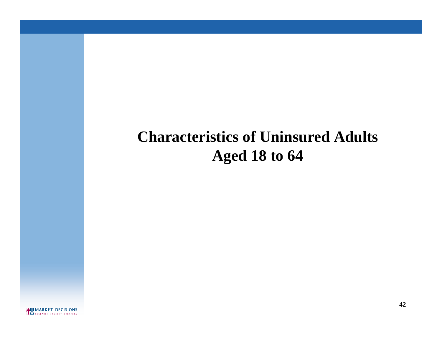# **Characteristics of Uninsured Adults Aged 18 to 64**

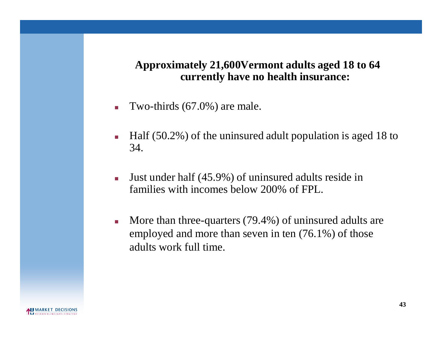## **Approximately 21,600Vermont adults aged 18 to 64 currently have no health insurance:**

- Two-thirds  $(67.0\%)$  are male.
- $\blacksquare$  Half (50.2%) of the uninsured adult population is aged 18 to 34.
- Just under half (45.9%) of uninsured adults reside in families with incomes below 200% of FPL.
- More than three-quarters (79.4%) of uninsured adults are employed and more than seven in ten (76.1%) of those adults work full time.

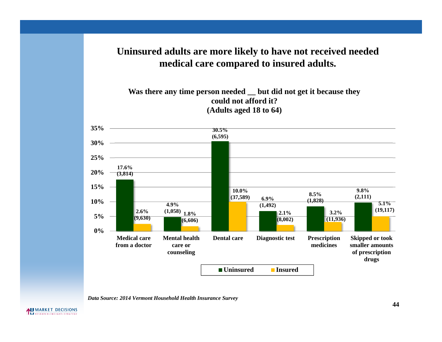### **Uninsured adults are more likely to have not received needed medical care compared to insured adults.**

**Was there any time person needed \_\_ but did not get it because they could not afford it? (Adults aged 18 to 64)**



*Data Source: 2014 Vermont Household Health Insurance Survey*

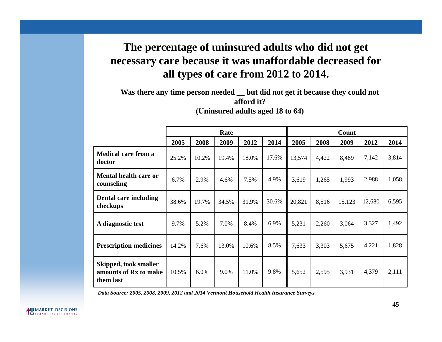# **The percentage of uninsured adults who did not get necessary care because it was unaffordable decreased for all types of care from 2012 to 2014.**

**Was there any time person needed \_\_ but did not get it because they could not afford it? (Uninsured adults aged 18 to 64)**

|                                                             | Rate  |       |       |       |       | Count  |       |        |        |       |  |
|-------------------------------------------------------------|-------|-------|-------|-------|-------|--------|-------|--------|--------|-------|--|
|                                                             | 2005  | 2008  | 2009  | 2012  | 2014  | 2005   | 2008  | 2009   | 2012   | 2014  |  |
| <b>Medical care from a</b><br>doctor                        | 25.2% | 10.2% | 19.4% | 18.0% | 17.6% | 13,574 | 4,422 | 8,489  | 7,142  | 3,814 |  |
| <b>Mental health care or</b><br>counseling                  | 6.7%  | 2.9%  | 4.6%  | 7.5%  | 4.9%  | 3,619  | 1,265 | 1,993  | 2,988  | 1,058 |  |
| Dental care including<br>checkups                           | 38.6% | 19.7% | 34.5% | 31.9% | 30.6% | 20,821 | 8,516 | 15,123 | 12,680 | 6,595 |  |
| A diagnostic test                                           | 9.7%  | 5.2%  | 7.0%  | 8.4%  | 6.9%  | 5,231  | 2,260 | 3,064  | 3,327  | 1,492 |  |
| <b>Prescription medicines</b>                               | 14.2% | 7.6%  | 13.0% | 10.6% | 8.5%  | 7,633  | 3,303 | 5,675  | 4,221  | 1,828 |  |
| Skipped, took smaller<br>amounts of Rx to make<br>them last | 10.5% | 6.0%  | 9.0%  | 11.0% | 9.8%  | 5,652  | 2,595 | 3,931  | 4,379  | 2,111 |  |

*Data Source: 2005, 2008, 2009, 2012 and 2014 Vermont Household Health Insurance Surveys*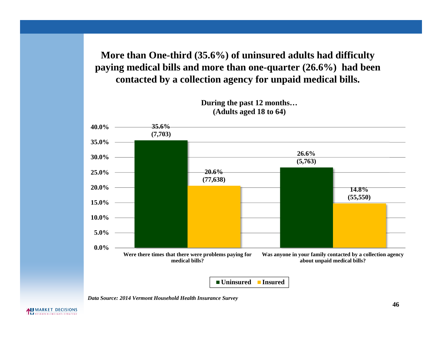**More than One-third (35.6%) of uninsured adults had difficulty paying medical bills and more than one-quarter (26.6%) had been contacted by a collection agency for unpaid medical bills.**



*Data Source: 2014 Vermont Household Health Insurance Survey*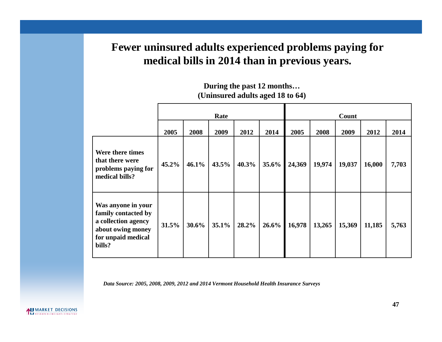# **Fewer uninsured adults experienced problems paying for medical bills in 2014 than in previous years.**

|                                                                                                                       | Rate  |       |       |       |       | Count  |        |        |        |       |  |
|-----------------------------------------------------------------------------------------------------------------------|-------|-------|-------|-------|-------|--------|--------|--------|--------|-------|--|
|                                                                                                                       | 2005  | 2008  | 2009  | 2012  | 2014  | 2005   | 2008   | 2009   | 2012   | 2014  |  |
| Were there times<br>that there were<br>problems paying for<br>medical bills?                                          | 45.2% | 46.1% | 43.5% | 40.3% | 35.6% | 24,369 | 19,974 | 19,037 | 16,000 | 7,703 |  |
| Was anyone in your<br>family contacted by<br>a collection agency<br>about owing money<br>for unpaid medical<br>bills? | 31.5% | 30.6% | 35.1% | 28.2% | 26.6% | 16,978 | 13,265 | 15,369 | 11,185 | 5,763 |  |

### **During the past 12 months… (Uninsured adults aged 18 to 64)**

*Data Source: 2005, 2008, 2009, 2012 and 2014 Vermont Household Health Insurance Surveys*

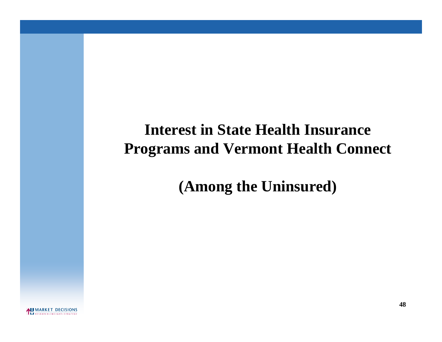# **Interest in State Health Insurance Programs and Vermont Health Connect**

**(Among the Uninsured)**

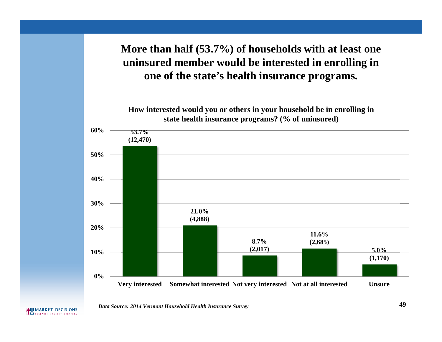# **More than half (53.7%) of households with at least one uninsured member would be interested in enrolling in one of the state's health insurance programs.**



*Data Source: 2014 Vermont Household Health Insurance Survey* **49**

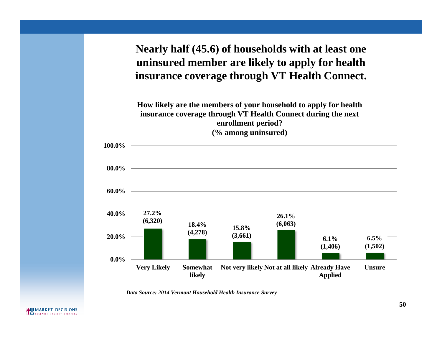**Nearly half (45.6) of households with at least one uninsured member are likely to apply for health insurance coverage through VT Health Connect.**

**How likely are the members of your household to apply for health insurance coverage through VT Health Connect during the next enrollment period? (% among uninsured)**



*Data Source: 2014 Vermont Household Health Insurance Survey*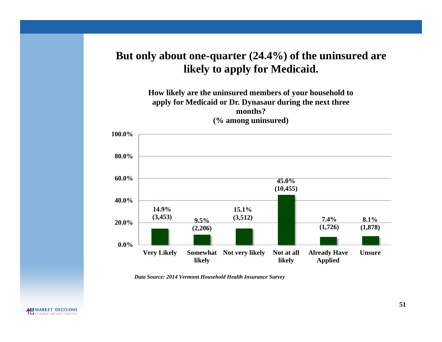# **But only about one-quarter (24.4%) of the uninsured are likely to apply for Medicaid.**



*Data Source: 2014 Vermont Household Health Insurance Survey*



**51**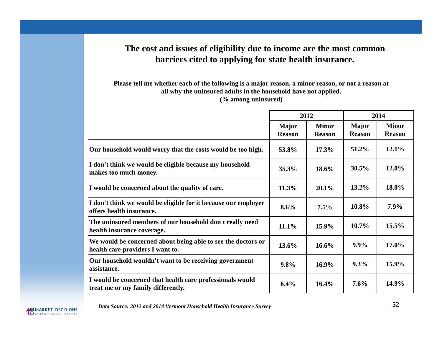### **The cost and issues of eligibility due to income are the most common barriers cited to applying for state health insurance.**

**Please tell me whether each of the following is a major reason, a minor reason, or not a reason at all why the uninsured adults in the household have not applied. (% among uninsured)**

|                                                                                                  |                               | 2012                          |                               | 2014                          |
|--------------------------------------------------------------------------------------------------|-------------------------------|-------------------------------|-------------------------------|-------------------------------|
|                                                                                                  | <b>Major</b><br><b>Reason</b> | <b>Minor</b><br><b>Reason</b> | <b>Major</b><br><b>Reason</b> | <b>Minor</b><br><b>Reason</b> |
| Our household would worry that the costs would be too high.                                      | 53.8%                         | 17.3%                         | 51.2%                         | 12.1%                         |
| I don't think we would be eligible because my household<br>makes too much money.                 | 35.3%                         | 18.6%                         | 30.5%                         | 12.0%                         |
| I would be concerned about the quality of care.                                                  | 11.3%                         | 20.1%                         | 13.2%                         | 18.0%                         |
| I don't think we would be eligible for it because our employer<br>offers health insurance.       | 8.6%                          | 7.5%                          | 10.8%                         | $7.9\%$                       |
| The uninsured members of our household don't really need<br>health insurance coverage.           | 11.1%                         | 15.9%                         | 10.7%                         | 15.5%                         |
| We would be concerned about being able to see the doctors or<br>health care providers I want to. | 13.6%                         | 16.6%                         | $9.9\%$                       | 17.0%                         |
| Our household wouldn't want to be receiving government<br>assistance.                            | 9.8%                          | $16.9\%$                      | $9.3\%$                       | 15.9%                         |
| I would be concerned that health care professionals would<br>treat me or my family differently.  | 6.4%                          | 16.4%                         | 7.6%                          | 14.9%                         |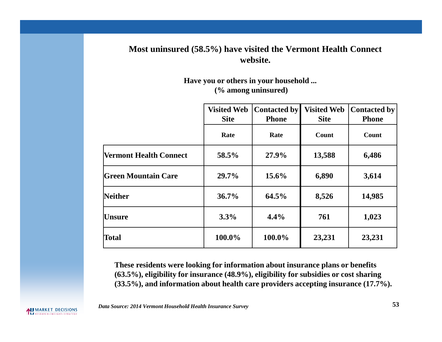### **Most uninsured (58.5%) have visited the Vermont Health Connect website.**

#### **Have you or others in your household ... (% among uninsured)**

|                               | <b>Visited Web</b><br><b>Site</b> | <b>Contacted by</b><br><b>Phone</b> | <b>Visited Web</b><br><b>Site</b> | <b>Contacted by</b><br><b>Phone</b> |
|-------------------------------|-----------------------------------|-------------------------------------|-----------------------------------|-------------------------------------|
|                               | Rate                              | Rate                                | Count                             | Count                               |
| <b>Vermont Health Connect</b> | 58.5%                             | 27.9%                               | 13,588                            | 6,486                               |
| Green Mountain Care           | 29.7%                             | $15.6\%$                            | 6,890                             | 3,614                               |
| <b>Neither</b>                | 36.7%                             | 64.5%                               | 8,526                             | 14,985                              |
| Unsure                        | 3.3%                              | 4.4%                                | 761                               | 1,023                               |
| <b>Total</b>                  | 100.0%                            | 100.0%                              | 23,231                            | 23,231                              |

**These residents were looking for information about insurance plans or benefits (63.5%), eligibility for insurance (48.9%), eligibility for subsidies or cost sharing (33.5%), and information about health care providers accepting insurance (17.7%).**

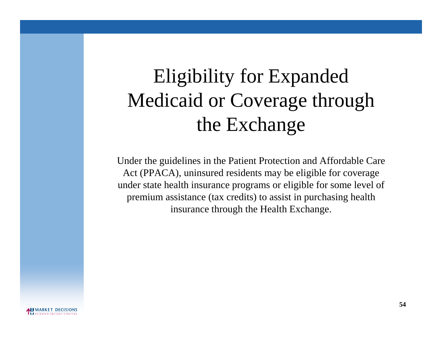# Eligibility for Expanded Medicaid or Coverage through the Exchange

Under the guidelines in the Patient Protection and Affordable Care Act (PPACA), uninsured residents may be eligible for coverage under state health insurance programs or eligible for some level of premium assistance (tax credits) to assist in purchasing health insurance through the Health Exchange.

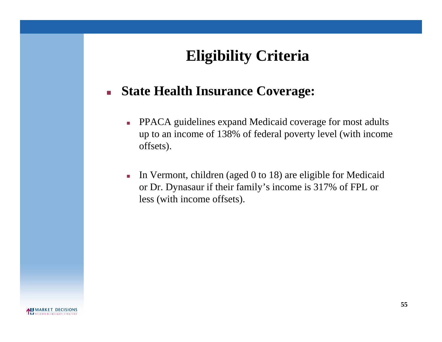# **Eligibility Criteria**

# **State Health Insurance Coverage:**

- **PPACA guidelines expand Medicaid coverage for most adults** up to an income of 138% of federal poverty level (with income offsets).
- In Vermont, children (aged  $0$  to  $18$ ) are eligible for Medicaid or Dr. Dynasaur if their family's income is 317% of FPL or less (with income offsets).

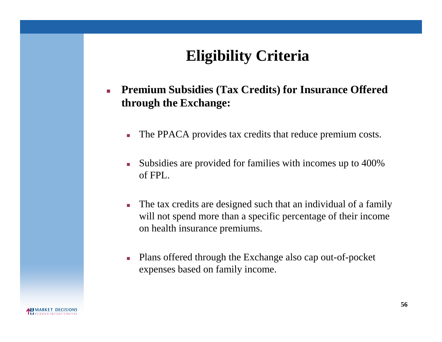# **Eligibility Criteria**

- **Premium Subsidies (Tax Credits) for Insurance Offered through the Exchange:**
	- The PPACA provides tax credits that reduce premium costs.
	- Subsidies are provided for families with incomes up to 400% of FPL.
	- The tax credits are designed such that an individual of a family will not spend more than a specific percentage of their income on health insurance premiums.
	- Plans offered through the Exchange also cap out-of-pocket expenses based on family income.

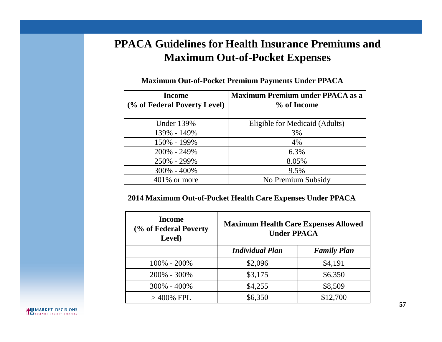# **PPACA Guidelines for Health Insurance Premiums and Maximum Out-of-Pocket Expenses**

| <b>Income</b>                | <b>Maximum Premium under PPACA as a</b> |
|------------------------------|-----------------------------------------|
| (% of Federal Poverty Level) | % of Income                             |
|                              |                                         |
| <b>Under 139%</b>            | Eligible for Medicaid (Adults)          |
| 139% - 149%                  | 3%                                      |
| 150% - 199%                  | 4%                                      |
| 200% - 249%                  | 6.3%                                    |
| 250% - 299%                  | 8.05%                                   |
| 300% - 400%                  | 9.5%                                    |
| $401\%$ or more              | No Premium Subsidy                      |

**Maximum Out-of-Pocket Premium Payments Under PPACA**

### **2014 Maximum Out-of-Pocket Health Care Expenses Under PPACA**

| <b>Income</b><br>(% of Federal Poverty)<br>Level) | <b>Maximum Health Care Expenses Allowed</b><br><b>Under PPACA</b> |                    |  |  |  |  |
|---------------------------------------------------|-------------------------------------------------------------------|--------------------|--|--|--|--|
|                                                   | <b>Individual Plan</b>                                            | <b>Family Plan</b> |  |  |  |  |
| $100\% - 200\%$                                   | \$2,096                                                           | \$4,191            |  |  |  |  |
| 200% - 300%                                       | \$3,175                                                           | \$6,350            |  |  |  |  |
| 300% - 400%                                       | \$4,255                                                           | \$8,509            |  |  |  |  |
| $>$ 400% FPL                                      | \$6,350                                                           | \$12,700           |  |  |  |  |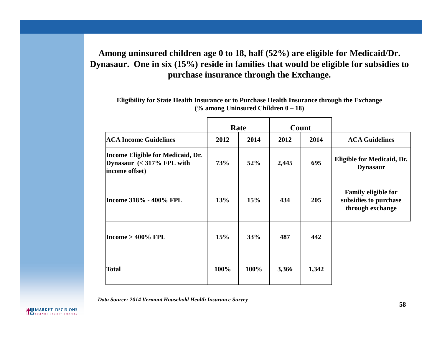### **Among uninsured children age 0 to 18, half (52%) are eligible for Medicaid/Dr. Dynasaur. One in six (15%) reside in families that would be eligible for subsidies to purchase insurance through the Exchange.**

|                                                                                   |            | Rate |       | Count |                                                                         |
|-----------------------------------------------------------------------------------|------------|------|-------|-------|-------------------------------------------------------------------------|
| <b>ACA Income Guidelines</b>                                                      | 2012       | 2014 | 2012  | 2014  | <b>ACA Guidelines</b>                                                   |
| Income Eligible for Medicaid, Dr.<br>Dynasaur $(317\% FPL with$<br>income offset) | <b>73%</b> | 52%  | 2,445 | 695   | Eligible for Medicaid, Dr.<br><b>Dynasaur</b>                           |
| Income 318% - 400% FPL                                                            | 13%        | 15%  | 434   | 205   | <b>Family eligible for</b><br>subsidies to purchase<br>through exchange |
| Income $>$ 400% FPL                                                               | 15%        | 33%  | 487   | 442   |                                                                         |
| Total                                                                             | 100%       | 100% | 3,366 | 1,342 |                                                                         |

**Eligibility for State Health Insurance or to Purchase Health Insurance through the Exchange (% among Uninsured Children 0 – 18)**

*Data Source: 2014 Vermont Household Health Insurance Survey*

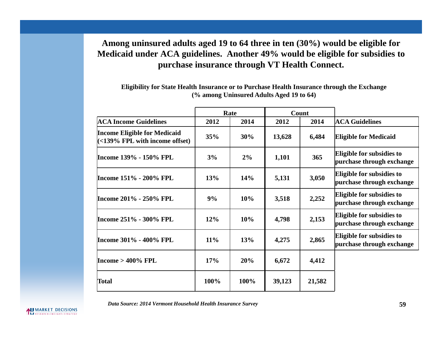### **Among uninsured adults aged 19 to 64 three in ten (30%) would be eligible for Medicaid under ACA guidelines. Another 49% would be eligible for subsidies to purchase insurance through VT Health Connect.**

**Eligibility for State Health Insurance or to Purchase Health Insurance through the Exchange (% among Uninsured Adults Aged 19 to 64)**

|                                                                            |        | Rate  |        | Count  |                                                        |
|----------------------------------------------------------------------------|--------|-------|--------|--------|--------------------------------------------------------|
| <b>ACA Income Guidelines</b>                                               | 2012   | 2014  | 2012   | 2014   | <b>ACA Guidelines</b>                                  |
| <b>Income Eligible for Medicaid</b><br>$\leq$ 139% FPL with income offset) | 35%    | 30%   | 13,628 | 6,484  | <b>Eligible for Medicaid</b>                           |
| Income 139% - 150% FPL                                                     | 3%     | $2\%$ | 1,101  | 365    | Eligible for subsidies to<br>purchase through exchange |
| Income 151% - 200% FPL                                                     | 13%    | 14%   | 5,131  | 3,050  | Eligible for subsidies to<br>purchase through exchange |
| Income 201% - 250% FPL                                                     | 9%     | 10%   | 3,518  | 2,252  | Eligible for subsidies to<br>purchase through exchange |
| Income 251% - 300% FPL                                                     | 12%    | 10%   | 4,798  | 2,153  | Eligible for subsidies to<br>purchase through exchange |
| Income 301% - 400% FPL                                                     | $11\%$ | 13%   | 4,275  | 2,865  | Eligible for subsidies to<br>purchase through exchange |
| Income $>400\%$ FPL                                                        | 17%    | 20%   | 6,672  | 4,412  |                                                        |
| Total                                                                      | 100%   | 100%  | 39,123 | 21,582 |                                                        |

*Data Source: 2014 Vermont Household Health Insurance Survey*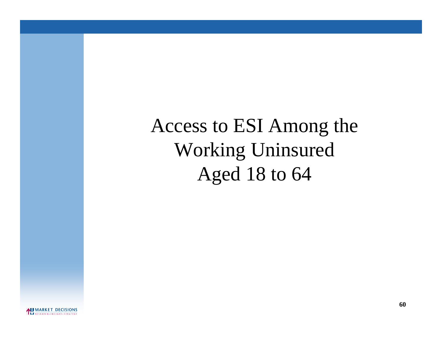Access to ESI Among the Working Uninsured Aged 18 to 64

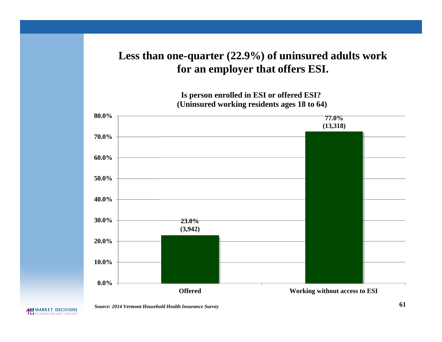# **Less than one-quarter (22.9%) of uninsured adults work for an employer that offers ESI.**

**Is person enrolled in ESI or offered ESI? (Uninsured working residents ages 18 to 64)**



#### MARKET DECISIONS

*Source: 2014 Vermont Household Health Insurance Survey* **61**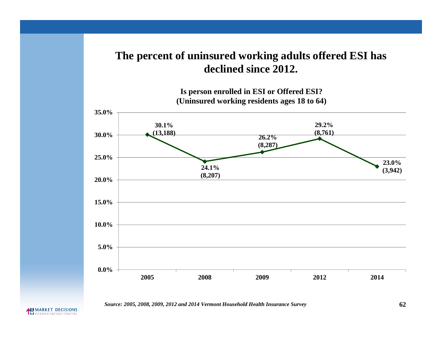## **The percent of uninsured working adults offered ESI has declined since 2012.**



*Source: 2005, 2008, 2009, 2012 and 2014 Vermont Household Health Insurance Survey*

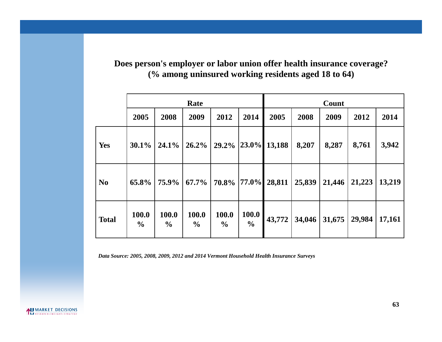**Does person's employer or labor union offer health insurance coverage? (% among uninsured working residents aged 18 to 64)**

|                |                        |                        | Rate                   |                        |                               |        | Count  |        |        |        |  |
|----------------|------------------------|------------------------|------------------------|------------------------|-------------------------------|--------|--------|--------|--------|--------|--|
|                | 2005                   | 2008                   | 2009                   | 2012                   | 2014                          | 2005   | 2008   | 2009   | 2012   | 2014   |  |
| Yes            | 30.1%                  | $24.1\%$               | 26.2%                  | 29.2%                  | $ 23.0\% $                    | 13,188 | 8,207  | 8,287  | 8,761  | 3,942  |  |
| N <sub>0</sub> | 65.8%                  | 75.9%                  | $67.7\%$               | 70.8% 77.0%            |                               | 28,811 | 25,839 | 21,446 | 21,223 | 13,219 |  |
| <b>Total</b>   | 100.0<br>$\frac{6}{9}$ | 100.0<br>$\frac{6}{9}$ | 100.0<br>$\frac{6}{9}$ | 100.0<br>$\frac{6}{9}$ | <b>100.0</b><br>$\frac{0}{0}$ | 43,772 | 34,046 | 31,675 | 29,984 | 17,161 |  |

*Data Source: 2005, 2008, 2009, 2012 and 2014 Vermont Household Health Insurance Surveys*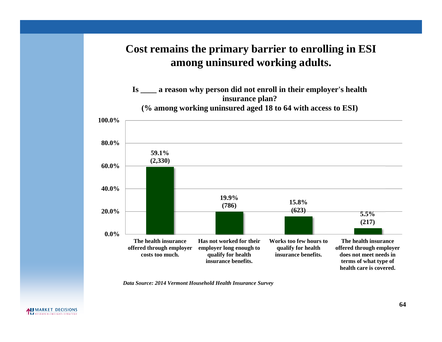# **Cost remains the primary barrier to enrolling in ESI among uninsured working adults.**



*Data Source: 2014 Vermont Household Health Insurance Survey*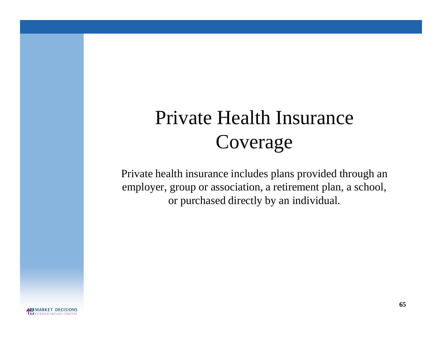# Private Health Insurance Coverage

Private health insurance includes plans provided through an employer, group or association, a retirement plan, a school, or purchased directly by an individual.

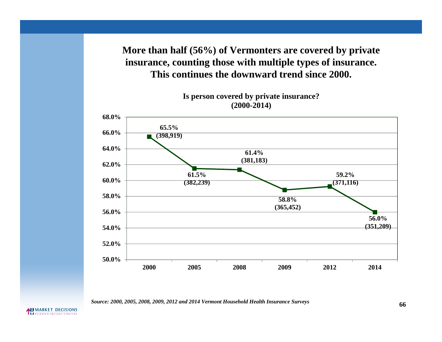**More than half (56%) of Vermonters are covered by private insurance, counting those with multiple types of insurance. This continues the downward trend since 2000.**

**65.5% (398,919) 61.5% (382,239) 61.4% (381,183) 58.8% (365,452) 59.2% (371,116) 56.0% (351,209) 50.0% 52.0% 54.0% 56.0% 58.0% 60.0% 62.0% 64.0% 66.0% 68.0% 2000 2005 2008 2009 2012 2014**

**Is person covered by private insurance? (2000-2014)**

**66** *Source: 2000, 2005, 2008, 2009, 2012 and 2014 Vermont Household Health Insurance Surveys*

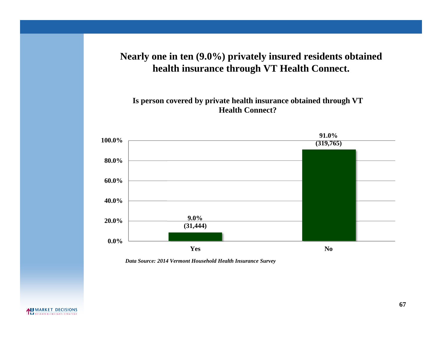### **Nearly one in ten (9.0%) privately insured residents obtained health insurance through VT Health Connect.**

**Is person covered by private health insurance obtained through VT Health Connect?**



*Data Source: 2014 Vermont Household Health Insurance Survey*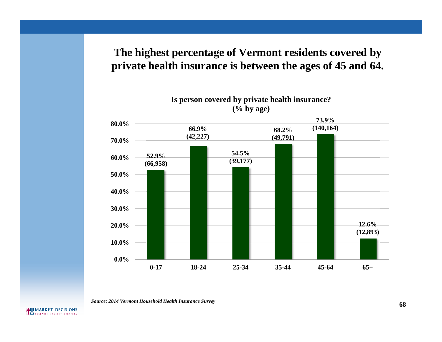## **The highest percentage of Vermont residents covered by private health insurance is between the ages of 45 and 64.**



#### **Is person covered by private health insurance? (% by age)**

**68** *Source: 2014 Vermont Household Health Insurance Survey*

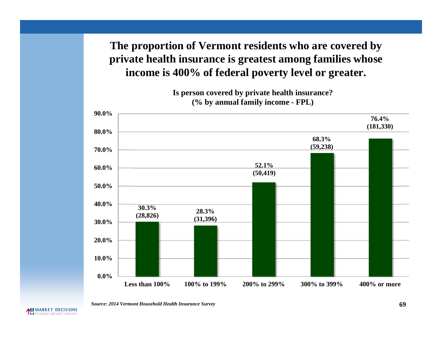**The proportion of Vermont residents who are covered by private health insurance is greatest among families whose income is 400% of federal poverty level or greater.**



**Is person covered by private health insurance? (% by annual family income - FPL)**

*Source: 2014 Vermont Household Health Insurance Survey* **69**

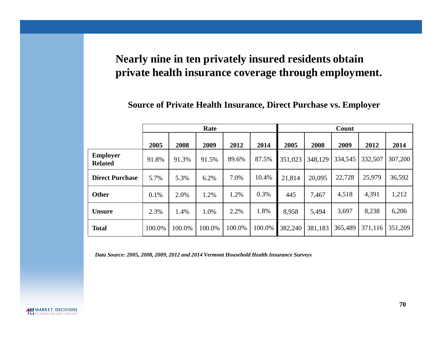# **Nearly nine in ten privately insured residents obtain private health insurance coverage through employment.**

### **Source of Private Health Insurance, Direct Purchase vs. Employer**

|                                   |        |        | Rate   |        |        |         |         | Count   |         |         |
|-----------------------------------|--------|--------|--------|--------|--------|---------|---------|---------|---------|---------|
|                                   | 2005   | 2008   | 2009   | 2012   | 2014   | 2005    | 2008    | 2009    | 2012    | 2014    |
| <b>Employer</b><br><b>Related</b> | 91.8%  | 91.3%  | 91.5%  | 89.6%  | 87.5%  | 351,023 | 348,129 | 334,545 | 332,507 | 307,200 |
| <b>Direct Purchase</b>            | 5.7%   | 5.3%   | 6.2%   | 7.0%   | 10.4%  | 21,814  | 20,095  | 22,728  | 25,979  | 36,592  |
| <b>Other</b>                      | 0.1%   | 2.0%   | 1.2%   | 1.2%   | 0.3%   | 445     | 7,467   | 4,518   | 4,391   | 1,212   |
| <b>Unsure</b>                     | 2.3%   | 1.4%   | 1.0%   | 2.2%   | 1.8%   | 8,958   | 5,494   | 3,697   | 8,238   | 6,206   |
| <b>Total</b>                      | 100.0% | 100.0% | 100.0% | 100.0% | 100.0% | 382,240 | 381,183 | 365,489 | 371,116 | 351,209 |

*Data Source: 2005, 2008, 2009, 2012 and 2014 Vermont Household Health Insurance Surveys*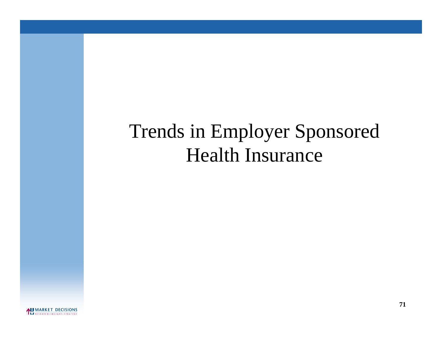# Trends in Employer Sponsored Health Insurance

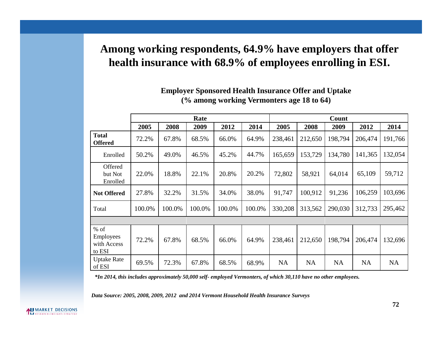# **Among working respondents, 64.9% have employers that offer health insurance with 68.9% of employees enrolling in ESI.**

|                                              | Rate   |        |        |        |        | Count     |           |           |           |           |
|----------------------------------------------|--------|--------|--------|--------|--------|-----------|-----------|-----------|-----------|-----------|
|                                              | 2005   | 2008   | 2009   | 2012   | 2014   | 2005      | 2008      | 2009      | 2012      | 2014      |
| <b>Total</b><br><b>Offered</b>               | 72.2%  | 67.8%  | 68.5%  | 66.0%  | 64.9%  | 238,461   | 212,650   | 198,794   | 206,474   | 191,766   |
| Enrolled                                     | 50.2%  | 49.0%  | 46.5%  | 45.2%  | 44.7%  | 165,659   | 153,729   | 134,780   | 141,365   | 132,054   |
| Offered<br>but Not<br>Enrolled               | 22.0%  | 18.8%  | 22.1%  | 20.8%  | 20.2%  | 72,802    | 58,921    | 64,014    | 65,109    | 59,712    |
| <b>Not Offered</b>                           | 27.8%  | 32.2%  | 31.5%  | 34.0%  | 38.0%  | 91,747    | 100,912   | 91,236    | 106,259   | 103,696   |
| Total                                        | 100.0% | 100.0% | 100.0% | 100.0% | 100.0% | 330,208   | 313,562   | 290,030   | 312,733   | 295,462   |
|                                              |        |        |        |        |        |           |           |           |           |           |
| $%$ of<br>Employees<br>with Access<br>to ESI | 72.2%  | 67.8%  | 68.5%  | 66.0%  | 64.9%  | 238,461   | 212,650   | 198,794   | 206,474   | 132,696   |
| <b>Uptake Rate</b><br>of ESI                 | 69.5%  | 72.3%  | 67.8%  | 68.5%  | 68.9%  | <b>NA</b> | <b>NA</b> | <b>NA</b> | <b>NA</b> | <b>NA</b> |

### **Employer Sponsored Health Insurance Offer and Uptake (% among working Vermonters age 18 to 64)**

*\*In 2014, this includes approximately 50,000 self- employed Vermonters, of which 30,110 have no other employees.*

*Data Source: 2005, 2008, 2009, 2012 and 2014 Vermont Household Health Insurance Surveys*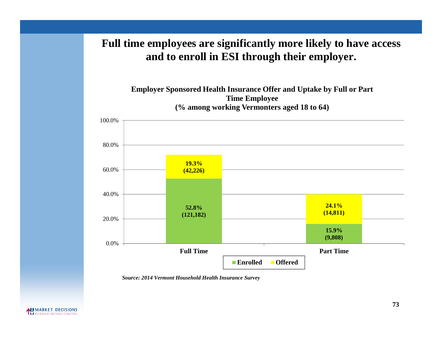## **Full time employees are significantly more likely to have access and to enroll in ESI through their employer.**



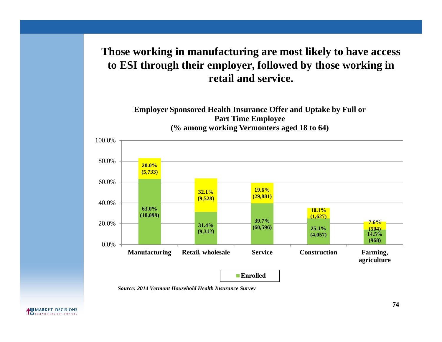## **Those working in manufacturing are most likely to have access to ESI through their employer, followed by those working in retail and service.**

**Employer Sponsored Health Insurance Offer and Uptake by Full or Part Time Employee (% among working Vermonters aged 18 to 64)**

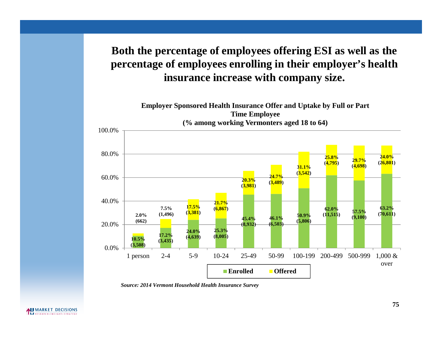## **Both the percentage of employees offering ESI as well as the percentage of employees enrolling in their employer's health insurance increase with company size.**



*Source: 2014 Vermont Household Health Insurance Survey*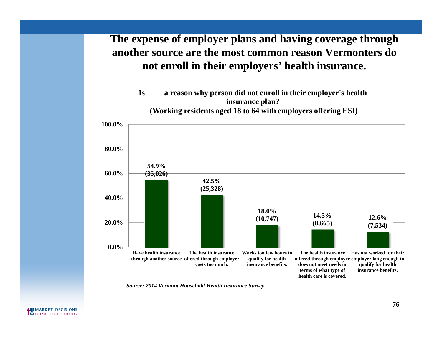## **The expense of employer plans and having coverage through another source are the most common reason Vermonters do not enroll in their employers' health insurance.**

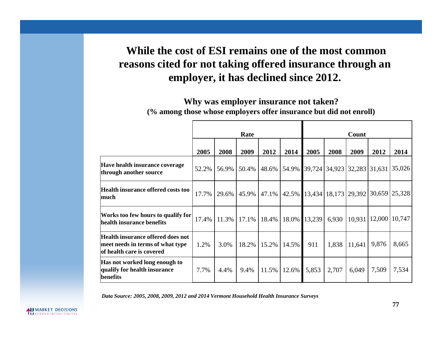## **While the cost of ESI remains one of the most common reasons cited for not taking offered insurance through an employer, it has declined since 2012.**

**Why was employer insurance not taken? (% among those whose employers offer insurance but did not enroll)**

|                                                                                                    | Rate  |       |                  |          | Count |        |       |                             |                                            |                 |
|----------------------------------------------------------------------------------------------------|-------|-------|------------------|----------|-------|--------|-------|-----------------------------|--------------------------------------------|-----------------|
|                                                                                                    | 2005  | 2008  | 2009             | 2012     | 2014  | 2005   | 2008  | 2009                        | 2012                                       | 2014            |
| Have health insurance coverage<br>through another source                                           | 52.2% | 56.9% | 50.4%            | 48.6%    | 54.9% |        |       | 39,724 34,923 32,283 31,631 |                                            | 35,026          |
| Health insurance offered costs too<br>much                                                         | 17.7% |       | 29.6% 45.9%      | $47.1\%$ | 42.5% |        |       |                             | 13,434   18,173   29,392   30,659   25,328 |                 |
| Works too few hours to qualify for<br>health insurance benefits                                    | 17.4% |       | $11.3\%$   17.1% | 18.4%    | 18.0% | 13,239 | 6,930 | 10,931                      |                                            | 12,000   10,747 |
| Health insurance offered does not<br>meet needs in terms of what type<br>of health care is covered | 1.2%  | 3.0%  | 18.2%            | 15.2%    | 14.5% | 911    | 1,838 | 11,641                      | 9,876                                      | 8,665           |
| Has not worked long enough to<br>qualify for health insurance<br>benefits                          | 7.7%  | 4.4%  | 9.4%             | 11.5%    | 12.6% | 5,853  | 2,707 | 6,049                       | 7,509                                      | 7,534           |

*Data Source: 2005, 2008, 2009, 2012 and 2014 Vermont Household Health Insurance Surveys*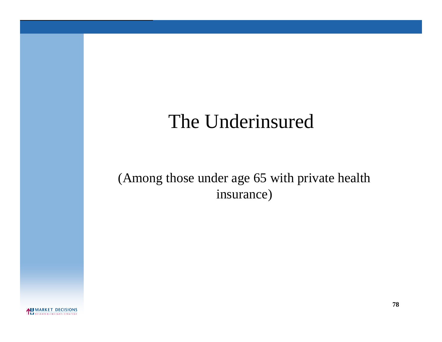## The Underinsured

## (Among those under age 65 with private health insurance)

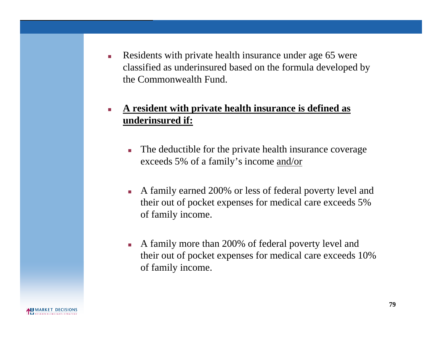Residents with private health insurance under age 65 were classified as underinsured based on the formula developed by the Commonwealth Fund.

### **A resident with private health insurance is defined as underinsured if:**

- The deductible for the private health insurance coverage exceeds 5% of a family's income and/or
- A family earned 200% or less of federal poverty level and their out of pocket expenses for medical care exceeds 5% of family income.
- A family more than 200% of federal poverty level and their out of pocket expenses for medical care exceeds 10% of family income.

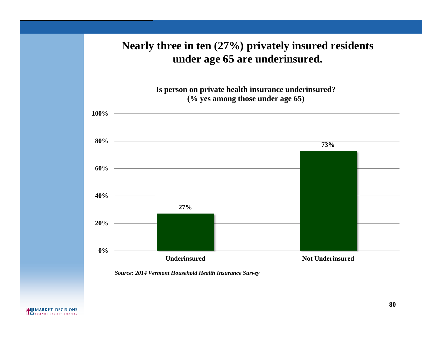## **Nearly three in ten (27%) privately insured residents under age 65 are underinsured.**

**Is person on private health insurance underinsured? (% yes among those under age 65)**

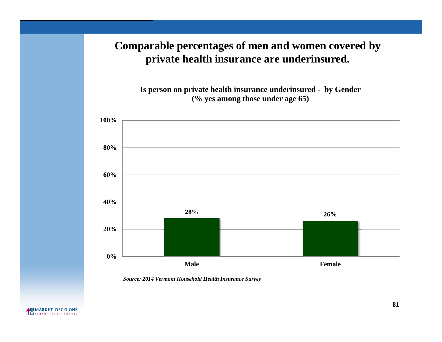## **Comparable percentages of men and women covered by private health insurance are underinsured.**

**Is person on private health insurance underinsured - by Gender (% yes among those under age 65)**

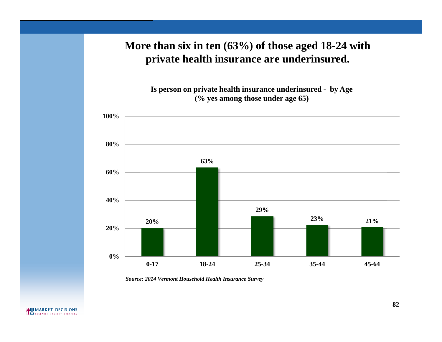## **More than six in ten (63%) of those aged 18-24 with private health insurance are underinsured.**

**Is person on private health insurance underinsured - by Age (% yes among those under age 65)**

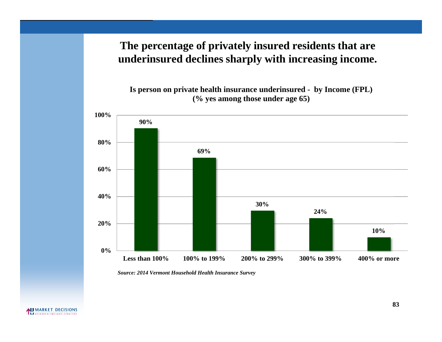## **The percentage of privately insured residents that are underinsured declines sharply with increasing income.**

**Is person on private health insurance underinsured - by Income (FPL) (% yes among those under age 65)**



*Source: 2014 Vermont Household Health Insurance Survey*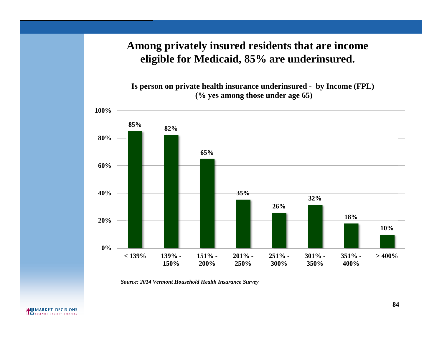## **Among privately insured residents that are income eligible for Medicaid, 85% are underinsured.**

**Is person on private health insurance underinsured - by Income (FPL) (% yes among those under age 65)**

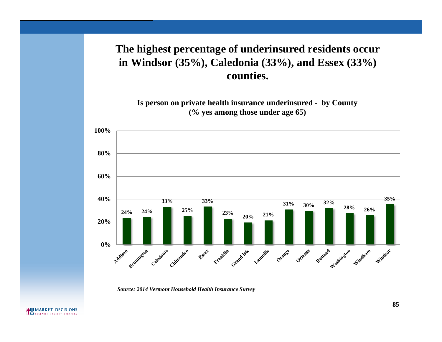## **The highest percentage of underinsured residents occur in Windsor (35%), Caledonia (33%), and Essex (33%) counties.**

**Is person on private health insurance underinsured - by County (% yes among those under age 65)**



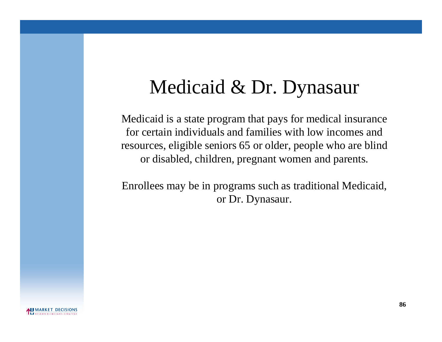# Medicaid & Dr. Dynasaur

Medicaid is a state program that pays for medical insurance for certain individuals and families with low incomes and resources, eligible seniors 65 or older, people who are blind or disabled, children, pregnant women and parents.

Enrollees may be in programs such as traditional Medicaid, or Dr. Dynasaur.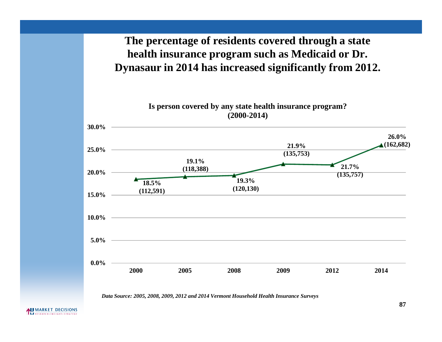## **The percentage of residents covered through a state health insurance program such as Medicaid or Dr. Dynasaur in 2014 has increased significantly from 2012.**

**Is person covered by any state health insurance program? (2000-2014)**



*Data Source: 2005, 2008, 2009, 2012 and 2014 Vermont Household Health Insurance Surveys*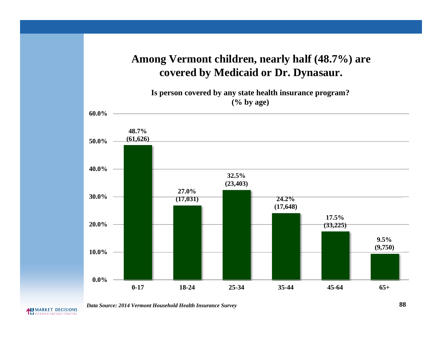## **Among Vermont children, nearly half (48.7%) are covered by Medicaid or Dr. Dynasaur.**

**Is person covered by any state health insurance program? (% by age)**



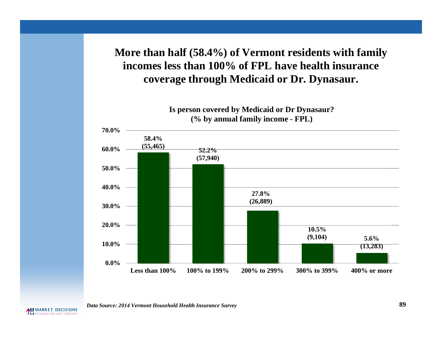## **More than half (58.4%) of Vermont residents with family incomes less than 100% of FPL have health insurance coverage through Medicaid or Dr. Dynasaur.**



**Is person covered by Medicaid or Dr Dynasaur? (% by annual family income - FPL)**

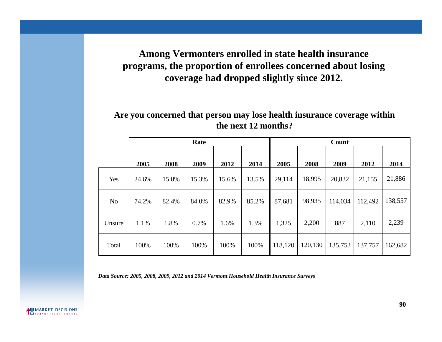### **Among Vermonters enrolled in state health insurance programs, the proportion of enrollees concerned about losing coverage had dropped slightly since 2012.**

#### **Are you concerned that person may lose health insurance coverage within the next 12 months?**

|                | Rate  |       |       |       | Count |         |         |         |         |         |
|----------------|-------|-------|-------|-------|-------|---------|---------|---------|---------|---------|
|                | 2005  | 2008  | 2009  | 2012  | 2014  | 2005    | 2008    | 2009    | 2012    | 2014    |
| Yes            | 24.6% | 15.8% | 15.3% | 15.6% | 13.5% | 29,114  | 18,995  | 20,832  | 21,155  | 21,886  |
| N <sub>o</sub> | 74.2% | 82.4% | 84.0% | 82.9% | 85.2% | 87,681  | 98,935  | 114,034 | 112,492 | 138,557 |
| Unsure         | 1.1%  | 1.8%  | 0.7%  | 1.6%  | 1.3%  | 1,325   | 2,200   | 887     | 2,110   | 2,239   |
| Total          | 100%  | 100%  | 100%  | 100%  | 100%  | 118,120 | 120,130 | 135,753 | 137,757 | 162,682 |

*Data Source: 2005, 2008, 2009, 2012 and 2014 Vermont Household Health Insurance Surveys*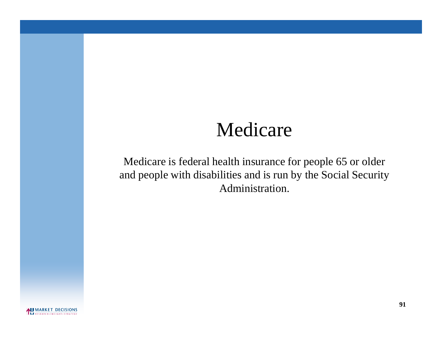## Medicare

Medicare is federal health insurance for people 65 or older and people with disabilities and is run by the Social Security Administration.

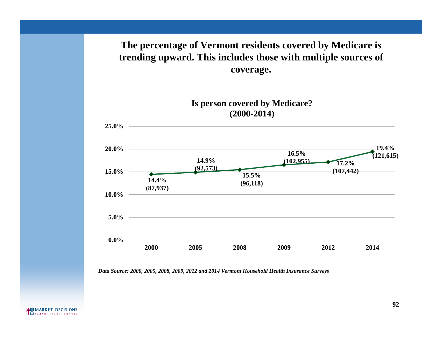### **The percentage of Vermont residents covered by Medicare is trending upward. This includes those with multiple sources of coverage.**



*Data Source: 2000, 2005, 2008, 2009, 2012 and 2014 Vermont Household Health Insurance Surveys*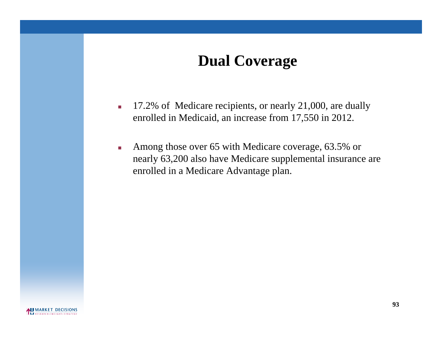## **Dual Coverage**

- 17.2% of Medicare recipients, or nearly 21,000, are dually enrolled in Medicaid, an increase from 17,550 in 2012.
- Among those over 65 with Medicare coverage, 63.5% or nearly 63,200 also have Medicare supplemental insurance are enrolled in a Medicare Advantage plan.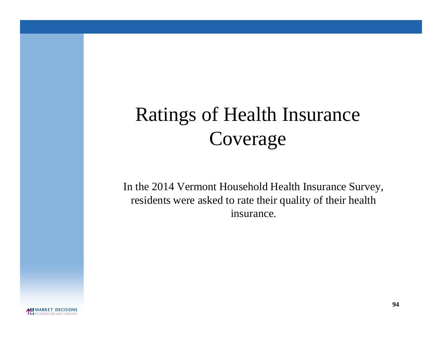# Ratings of Health Insurance Coverage

In the 2014 Vermont Household Health Insurance Survey, residents were asked to rate their quality of their health insurance.

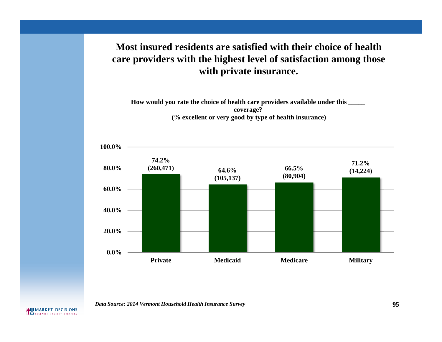### **Most insured residents are satisfied with their choice of health care providers with the highest level of satisfaction among those with private insurance.**

**How would you rate the choice of health care providers available under this \_\_\_\_\_ coverage? (% excellent or very good by type of health insurance)**



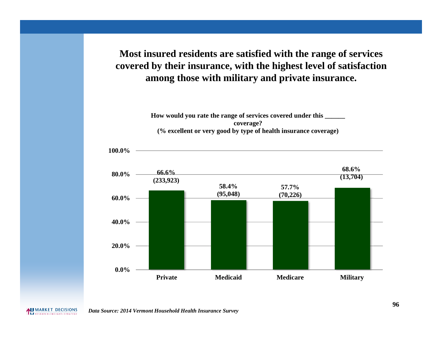**Most insured residents are satisfied with the range of services covered by their insurance, with the highest level of satisfaction among those with military and private insurance.**

> **How would you rate the range of services covered under this \_\_\_\_\_\_ coverage? (% excellent or very good by type of health insurance coverage)**





*Data Source: 2014 Vermont Household Health Insurance Survey*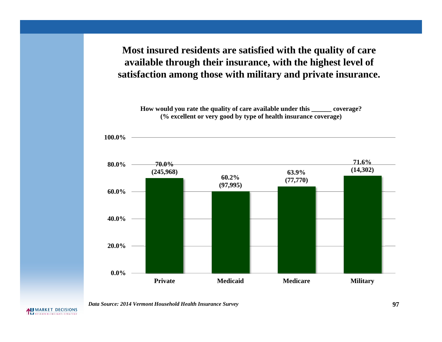**Most insured residents are satisfied with the quality of care available through their insurance, with the highest level of satisfaction among those with military and private insurance.**

**How would you rate the quality of care available under this \_\_\_\_\_\_ coverage? (% excellent or very good by type of health insurance coverage)**



*Data Source: 2014 Vermont Household Health Insurance Survey* **97**

**100.0%**

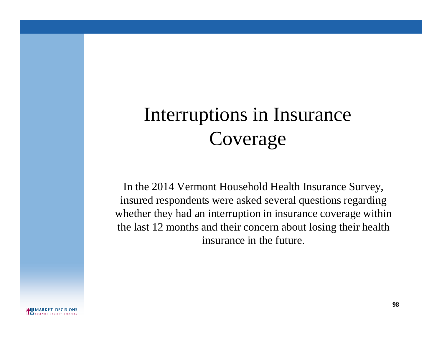# Interruptions in Insurance Coverage

In the 2014 Vermont Household Health Insurance Survey, insured respondents were asked several questions regarding whether they had an interruption in insurance coverage within the last 12 months and their concern about losing their health insurance in the future.

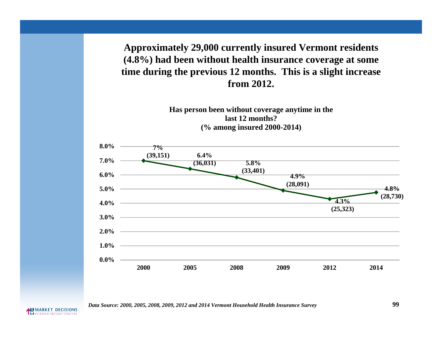**Approximately 29,000 currently insured Vermont residents (4.8%) had been without health insurance coverage at some time during the previous 12 months. This is a slight increase from 2012.**



*Data Source: 2000, 2005, 2008, 2009, 2012 and 2014 Vermont Household Health Insurance Survey* **99**

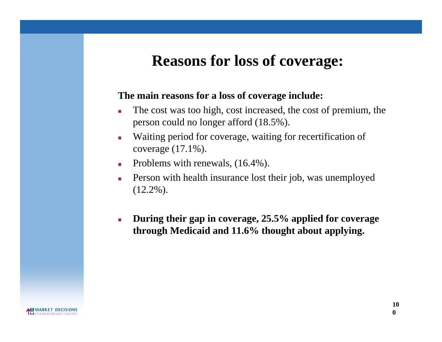## **Reasons for loss of coverage:**

#### **The main reasons for a loss of coverage include:**

- The cost was too high, cost increased, the cost of premium, the person could no longer afford (18.5%).
- Waiting period for coverage, waiting for recertification of coverage (17.1%).
- Problems with renewals,  $(16.4\%)$ .
- **Person with health insurance lost their job, was unemployed**  $(12.2\%)$ .
- **During their gap in coverage, 25.5% applied for coverage through Medicaid and 11.6% thought about applying.**

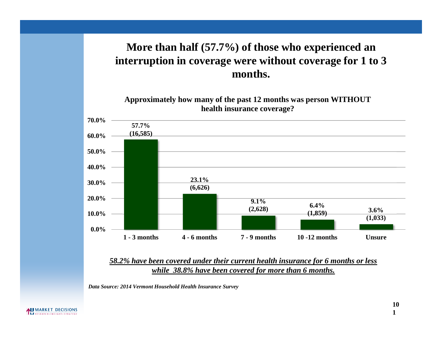## **More than half (57.7%) of those who experienced an interruption in coverage were without coverage for 1 to 3 months.**

**Approximately how many of the past 12 months was person WITHOUT health insurance coverage?**



*58.2% have been covered under their current health insurance for 6 months or less while 38.8% have been covered for more than 6 months.*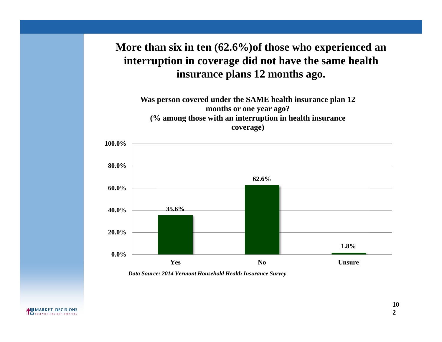## **More than six in ten (62.6%)of those who experienced an interruption in coverage did not have the same health insurance plans 12 months ago.**

**Was person covered under the SAME health insurance plan 12 months or one year ago? (% among those with an interruption in health insurance coverage)**

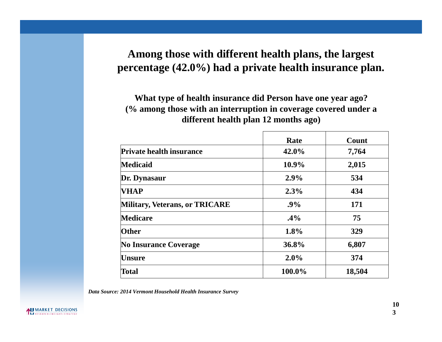## **Among those with different health plans, the largest percentage (42.0%) had a private health insurance plan.**

**What type of health insurance did Person have one year ago? (% among those with an interruption in coverage covered under a different health plan 12 months ago)**

|                                 | Rate   | Count  |
|---------------------------------|--------|--------|
| <b>Private health insurance</b> | 42.0%  | 7,764  |
| Medicaid                        | 10.9%  | 2,015  |
| Dr. Dynasaur                    | 2.9%   | 534    |
| <b>VHAP</b>                     | 2.3%   | 434    |
| Military, Veterans, or TRICARE  | .9%    | 171    |
| <b>Medicare</b>                 | $.4\%$ | 75     |
| <b>Other</b>                    | 1.8%   | 329    |
| <b>No Insurance Coverage</b>    | 36.8%  | 6,807  |
| Unsure                          | 2.0%   | 374    |
| <b>Total</b>                    | 100.0% | 18,504 |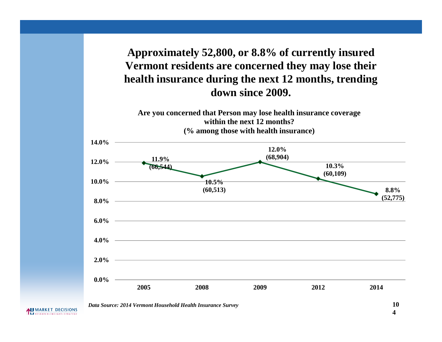**Approximately 52,800, or 8.8% of currently insured Vermont residents are concerned they may lose their health insurance during the next 12 months, trending down since 2009.**

**Are you concerned that Person may lose health insurance coverage within the next 12 months? (% among those with health insurance)**

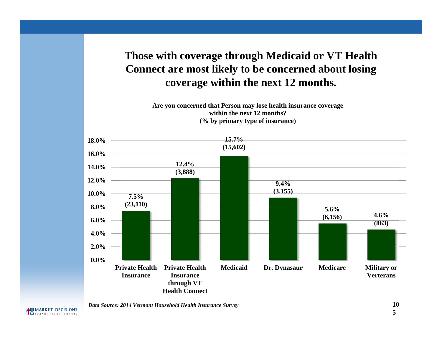## **Those with coverage through Medicaid or VT Health Connect are most likely to be concerned about losing coverage within the next 12 months.**

**Are you concerned that Person may lose health insurance coverage within the next 12 months? (% by primary type of insurance)**



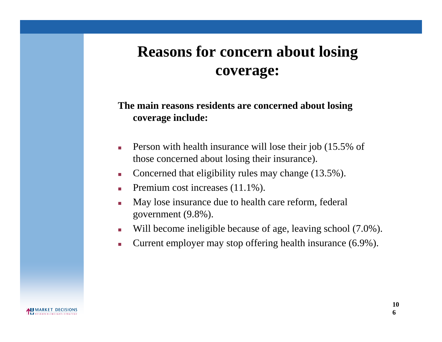## **Reasons for concern about losing coverage:**

### **The main reasons residents are concerned about losing coverage include:**

- Person with health insurance will lose their job (15.5% of those concerned about losing their insurance).
- Concerned that eligibility rules may change (13.5%).
- Premium cost increases  $(11.1\%)$ .
- May lose insurance due to health care reform, federal government (9.8%).
- Will become ineligible because of age, leaving school (7.0%).
- **Current employer may stop offering health insurance (6.9%).**

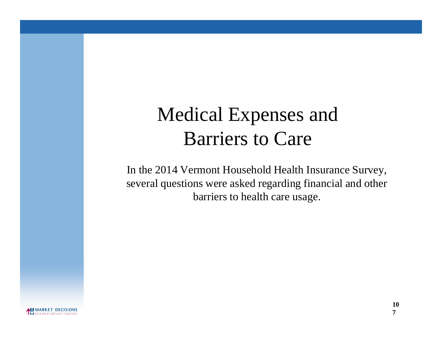# Medical Expenses and Barriers to Care

In the 2014 Vermont Household Health Insurance Survey, several questions were asked regarding financial and other barriers to health care usage.

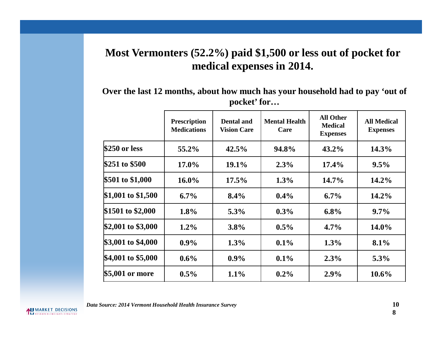## **Most Vermonters (52.2%) paid \$1,500 or less out of pocket for medical expenses in 2014.**

**Over the last 12 months, about how much has your household had to pay 'out of pocket' for…**

|                     | <b>Prescription</b><br><b>Medications</b> | <b>Dental and</b><br><b>Vision Care</b> | <b>Mental Health</b><br>Care | <b>All Other</b><br><b>Medical</b><br><b>Expenses</b> | <b>All Medical</b><br><b>Expenses</b> |
|---------------------|-------------------------------------------|-----------------------------------------|------------------------------|-------------------------------------------------------|---------------------------------------|
| \$250 or less       | 55.2%                                     | 42.5%                                   | 94.8%                        | $43.2\%$                                              | $14.3\%$                              |
| \$251 to \$500      | $17.0\%$                                  | 19.1%                                   | 2.3%                         | $17.4\%$                                              | $9.5\%$                               |
| \$501 to \$1,000    | $16.0\%$                                  | $17.5\%$                                | $1.3\%$                      | $14.7\%$                                              | 14.2%                                 |
| $$1,001$ to \$1,500 | $6.7\%$                                   | $8.4\%$                                 | $0.4\%$                      | $6.7\%$                                               | $14.2\%$                              |
| \$1501 to \$2,000   | 1.8%                                      | 5.3%                                    | $0.3\%$                      | $6.8\%$                                               | $9.7\%$                               |
| \$2,001 to \$3,000  | $1.2\%$                                   | $3.8\%$                                 | $0.5\%$                      | $4.7\%$                                               | $14.0\%$                              |
| \$3,001 to \$4,000  | $0.9\%$                                   | $1.3\%$                                 | $0.1\%$                      | $1.3\%$                                               | 8.1%                                  |
| \$4,001 to \$5,000  | $0.6\%$                                   | $0.9\%$                                 | $0.1\%$                      | $2.3\%$                                               | $5.3\%$                               |
| \$5,001 or more     | $0.5\%$                                   | $1.1\%$                                 | $0.2\%$                      | $2.9\%$                                               | $10.6\%$                              |

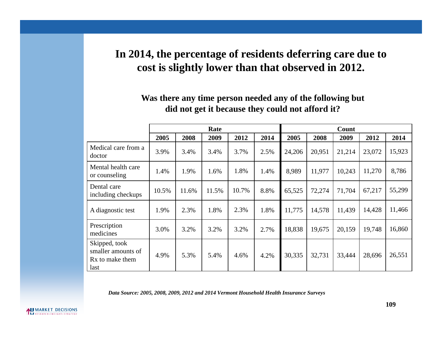#### **In 2014, the percentage of residents deferring care due to cost is slightly lower than that observed in 2012.**

#### **Was there any time person needed any of the following but did not get it because they could not afford it?**

|                                                                            | Rate  |       |       |       | Count |        |        |        |        |        |
|----------------------------------------------------------------------------|-------|-------|-------|-------|-------|--------|--------|--------|--------|--------|
|                                                                            | 2005  | 2008  | 2009  | 2012  | 2014  | 2005   | 2008   | 2009   | 2012   | 2014   |
| Medical care from a<br>doctor                                              | 3.9%  | 3.4%  | 3.4%  | 3.7%  | 2.5%  | 24,206 | 20,951 | 21,214 | 23,072 | 15,923 |
| Mental health care<br>or counseling                                        | 1.4%  | 1.9%  | 1.6%  | 1.8%  | 1.4%  | 8,989  | 11,977 | 10,243 | 11,270 | 8,786  |
| Dental care<br>including checkups                                          | 10.5% | 11.6% | 11.5% | 10.7% | 8.8%  | 65,525 | 72,274 | 71,704 | 67,217 | 55,299 |
| A diagnostic test                                                          | 1.9%  | 2.3%  | 1.8%  | 2.3%  | 1.8%  | 11,775 | 14,578 | 11,439 | 14,428 | 11,466 |
| Prescription<br>medicines                                                  | 3.0%  | 3.2%  | 3.2%  | 3.2%  | 2.7%  | 18,838 | 19,675 | 20,159 | 19,748 | 16,860 |
| Skipped, took<br>smaller amounts of<br>R <sub>x</sub> to make them<br>last | 4.9%  | 5.3%  | 5.4%  | 4.6%  | 4.2%  | 30,335 | 32,731 | 33,444 | 28,696 | 26,551 |

*Data Source: 2005, 2008, 2009, 2012 and 2014 Vermont Household Health Insurance Surveys*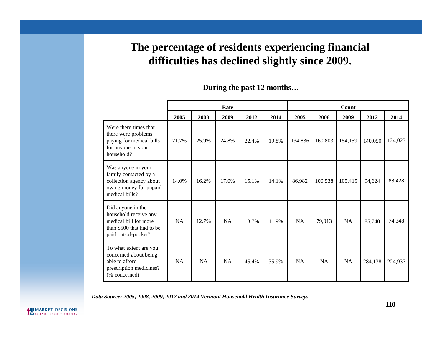#### **The percentage of residents experiencing financial difficulties has declined slightly since 2009.**

|                                                                                                                         | Rate      |       |           |       | Count |           |         |           |         |         |
|-------------------------------------------------------------------------------------------------------------------------|-----------|-------|-----------|-------|-------|-----------|---------|-----------|---------|---------|
|                                                                                                                         | 2005      | 2008  | 2009      | 2012  | 2014  | 2005      | 2008    | 2009      | 2012    | 2014    |
| Were there times that<br>there were problems<br>paying for medical bills<br>for anyone in your<br>household?            | 21.7%     | 25.9% | 24.8%     | 22.4% | 19.8% | 134,836   | 160,803 | 154,159   | 140,050 | 124,023 |
| Was anyone in your<br>family contacted by a<br>collection agency about<br>owing money for unpaid<br>medical bills?      | 14.0%     | 16.2% | 17.0%     | 15.1% | 14.1% | 86,982    | 100,538 | 105,415   | 94,624  | 88,428  |
| Did anyone in the<br>household receive any<br>medical bill for more<br>than \$500 that had to be<br>paid out-of-pocket? | NA        | 12.7% | <b>NA</b> | 13.7% | 11.9% | <b>NA</b> | 79,013  | <b>NA</b> | 85,740  | 74,348  |
| To what extent are you<br>concerned about being<br>able to afford<br>prescription medicines?<br>(% concerned)           | <b>NA</b> | NA    | NA        | 45.4% | 35.9% | <b>NA</b> | NA      | NA        | 284,138 | 224,937 |

#### **During the past 12 months…**

*Data Source: 2005, 2008, 2009, 2012 and 2014 Vermont Household Health Insurance Surveys*

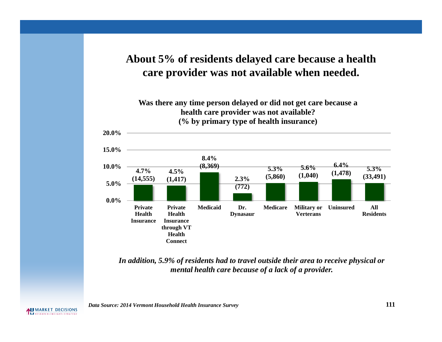#### **About 5% of residents delayed care because a health care provider was not available when needed.**



*In addition, 5.9% of residents had to travel outside their area to receive physical or mental health care because of a lack of a provider.*

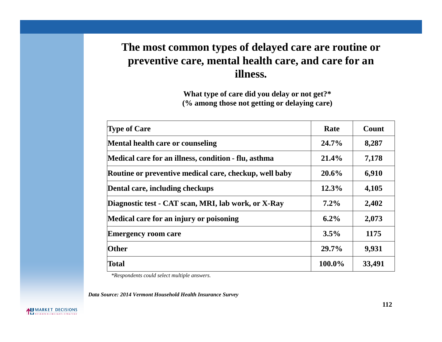#### **The most common types of delayed care are routine or preventive care, mental health care, and care for an illness.**

**What type of care did you delay or not get?\* (% among those not getting or delaying care)**

| <b>Type of Care</b>                                    | Rate    | Count  |
|--------------------------------------------------------|---------|--------|
| Mental health care or counseling                       | 24.7%   | 8,287  |
| Medical care for an illness, condition - flu, asthma   | 21.4%   | 7,178  |
| Routine or preventive medical care, checkup, well baby | 20.6%   | 6,910  |
| Dental care, including checkups                        | 12.3%   | 4,105  |
| Diagnostic test - CAT scan, MRI, lab work, or X-Ray    | $7.2\%$ | 2,402  |
| Medical care for an injury or poisoning                | $6.2\%$ | 2,073  |
| <b>Emergency room care</b>                             | 3.5%    | 1175   |
| Other                                                  | 29.7%   | 9,931  |
| <b>Total</b>                                           | 100.0%  | 33,491 |

*\*Respondents could select multiple answers.*

*Data Source: 2014 Vermont Household Health Insurance Survey*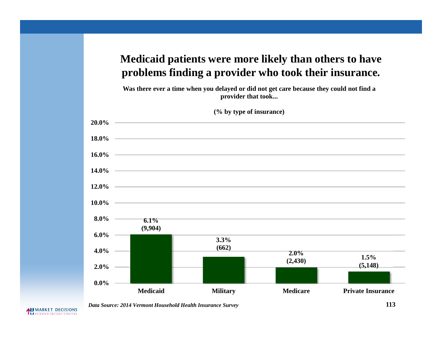#### **Medicaid patients were more likely than others to have problems finding a provider who took their insurance.**

**Was there ever a time when you delayed or did not get care because they could not find a provider that took...**



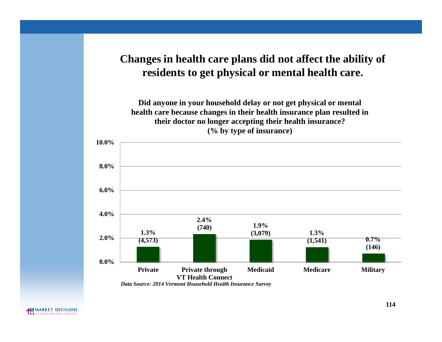#### **Changes in health care plans did not affect the ability of residents to get physical or mental health care.**

**Did anyone in your household delay or not get physical or mental health care because changes in their health insurance plan resulted in their doctor no longer accepting their health insurance? (% by type of insurance)**

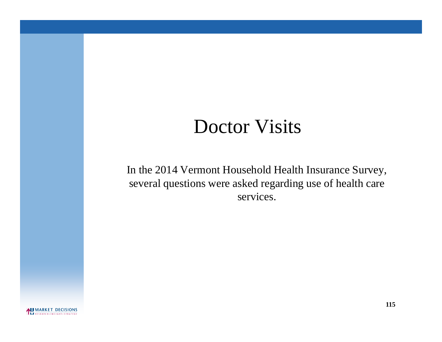# Doctor Visits

In the 2014 Vermont Household Health Insurance Survey, several questions were asked regarding use of health care services.

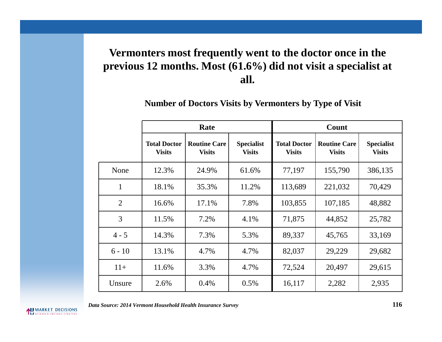### **Vermonters most frequently went to the doctor once in the previous 12 months. Most (61.6%) did not visit a specialist at all.**

**Number of Doctors Visits by Vermonters by Type of Visit**

|                |                                      | Rate                                 |                                    | Count                                |                                      |                                    |  |
|----------------|--------------------------------------|--------------------------------------|------------------------------------|--------------------------------------|--------------------------------------|------------------------------------|--|
|                | <b>Total Doctor</b><br><b>Visits</b> | <b>Routine Care</b><br><b>Visits</b> | <b>Specialist</b><br><b>Visits</b> | <b>Total Doctor</b><br><b>Visits</b> | <b>Routine Care</b><br><b>Visits</b> | <b>Specialist</b><br><b>Visits</b> |  |
| None           | 12.3%                                | 24.9%                                | 61.6%                              | 77,197                               | 155,790                              | 386,135                            |  |
| $\mathbf{1}$   | 18.1%                                | 35.3%                                | 11.2%                              | 113,689                              | 221,032                              | 70,429                             |  |
| $\overline{2}$ | 16.6%                                | 17.1%                                | 7.8%                               | 103,855                              | 107,185                              | 48,882                             |  |
| 3              | 11.5%                                | 7.2%                                 | 4.1%                               | 71,875                               | 44,852                               | 25,782                             |  |
| $4 - 5$        | 14.3%                                | 7.3%                                 | 5.3%                               | 89,337                               | 45,765                               | 33,169                             |  |
| $6 - 10$       | 13.1%                                | 4.7%                                 | 4.7%                               | 82,037                               | 29,229                               | 29,682                             |  |
| $11+$          | 11.6%                                | 3.3%                                 | 4.7%                               | 72,524                               | 20,497                               | 29,615                             |  |
| Unsure         | 2.6%                                 | 0.4%                                 | 0.5%                               | 16,117                               | 2,282                                | 2,935                              |  |

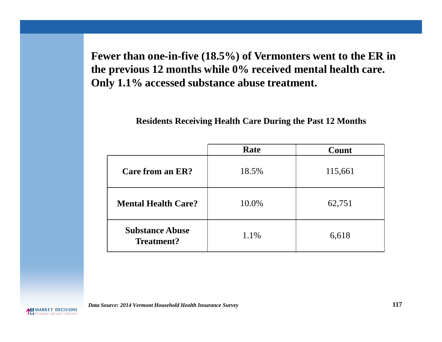**Fewer than one-in-five (18.5%) of Vermonters went to the ER in the previous 12 months while 0% received mental health care. Only 1.1% accessed substance abuse treatment.**

**Residents Receiving Health Care During the Past 12 Months**

|                                      | Rate  | Count   |
|--------------------------------------|-------|---------|
| Care from an ER?                     | 18.5% | 115,661 |
| <b>Mental Health Care?</b>           | 10.0% | 62,751  |
| <b>Substance Abuse</b><br>Treatment? | 1.1%  | 6,618   |

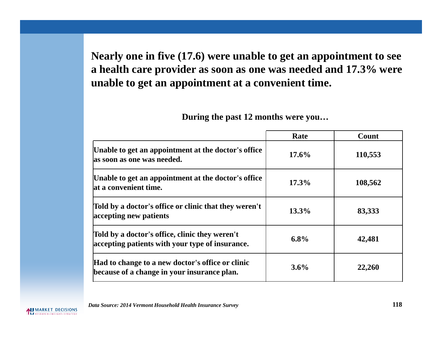**Nearly one in five (17.6) were unable to get an appointment to see a health care provider as soon as one was needed and 17.3% were unable to get an appointment at a convenient time.**

|                                                                                                   | Rate    | Count   |
|---------------------------------------------------------------------------------------------------|---------|---------|
| Unable to get an appointment at the doctor's office<br>as soon as one was needed.                 | 17.6%   | 110,553 |
| Unable to get an appointment at the doctor's office<br>at a convenient time.                      | 17.3%   | 108,562 |
| Told by a doctor's office or clinic that they weren't<br>accepting new patients                   | 13.3%   | 83,333  |
| Told by a doctor's office, clinic they weren't<br>accepting patients with your type of insurance. | 6.8%    | 42,481  |
| Had to change to a new doctor's office or clinic<br>because of a change in your insurance plan.   | $3.6\%$ | 22,260  |

**During the past 12 months were you…**

*Data Source: 2014 Vermont Household Health Insurance Survey* **118**